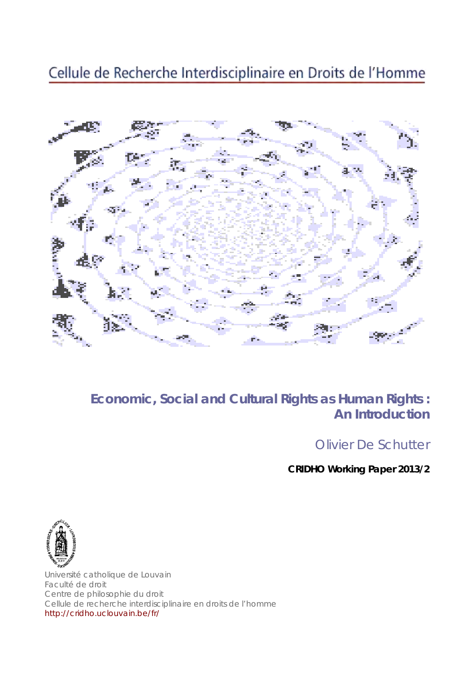Cellule de Recherche Interdisciplinaire en Droits de l'Homme



# **Economic, Social and Cultural Rights as Human Rights : An Introduction**

*Olivier De Schutter*

**CRIDHO Working Paper 2013/2**



Université catholique de Louvain Faculté de droit Centre de philosophie du droit Cellule de recherche interdisciplinaire en droits de l'homme http://cridho.uclouvain.be/fr/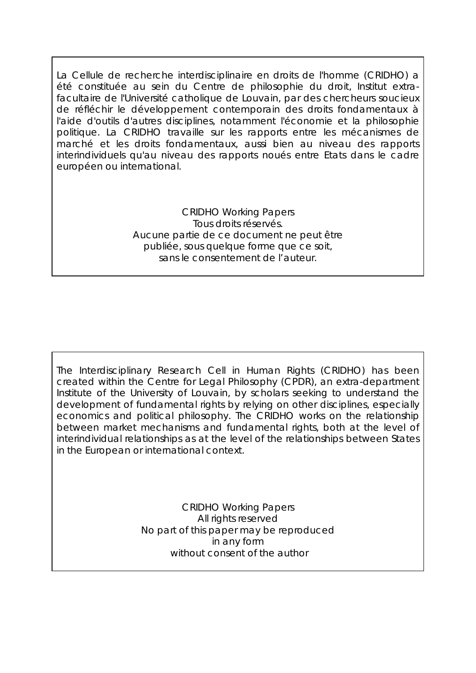La Cellule de recherche interdisciplinaire en droits de l'homme (CRIDHO) a été constituée au sein du Centre de philosophie du droit, Institut extrafacultaire de l'Université catholique de Louvain, par des chercheurs soucieux de réfléchir le développement contemporain des droits fondamentaux à l'aide d'outils d'autres disciplines, notamment l'économie et la philosophie politique. La CRIDHO travaille sur les rapports entre les mécanismes de marché et les droits fondamentaux, aussi bien au niveau des rapports interindividuels qu'au niveau des rapports noués entre Etats dans le cadre européen ou international.

> CRIDHO Working Papers Tous droits réservés. Aucune partie de ce document ne peut être publiée, sous quelque forme que ce soit, sans le consentement de l'auteur.

The Interdisciplinary Research Cell in Human Rights (CRIDHO) has been created within the Centre for Legal Philosophy (CPDR), an extra-department Institute of the University of Louvain, by scholars seeking to understand the development of fundamental rights by relying on other disciplines, especially economics and political philosophy. The CRIDHO works on the relationship between market mechanisms and fundamental rights, both at the level of interindividual relationships as at the level of the relationships between States in the European or international context.

> CRIDHO Working Papers All rights reserved No part of this paper may be reproduced in any form without consent of the author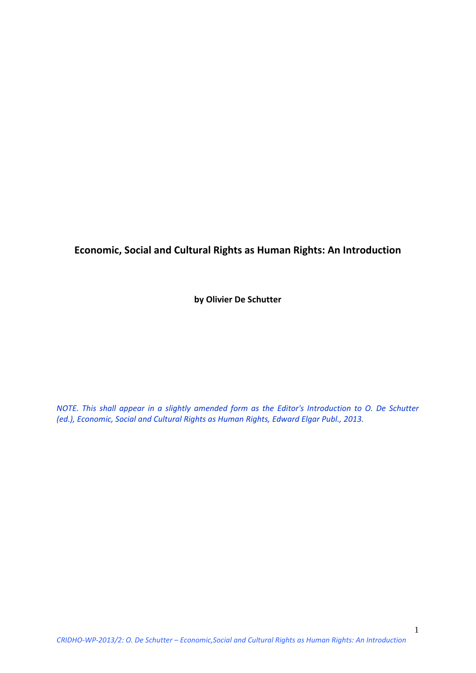# **Economic, Social and Cultural Rights as Human Rights: An Introduction**

**by Olivier De Schutter**

*NOTE. This shall appear in a slightly amended form as the Editor's Introduction to O. De Schutter (ed.), Economic, Social and Cultural Rights as Human Rights, Edward Elgar Publ., 2013.* 

1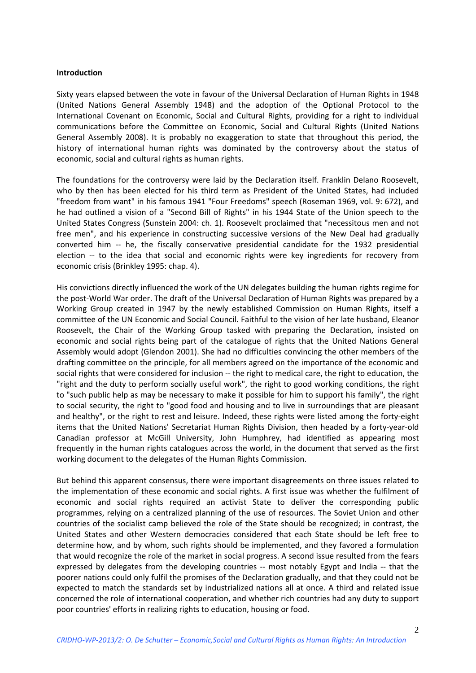#### **Introduction**

Sixty years elapsed between the vote in favour of the Universal Declaration of Human Rights in 1948 (United Nations General Assembly 1948) and the adoption of the Optional Protocol to the International Covenant on Economic, Social and Cultural Rights, providing for a right to individual communications before the Committee on Economic, Social and Cultural Rights (United Nations General Assembly 2008). It is probably no exaggeration to state that throughout this period, the history of international human rights was dominated by the controversy about the status of economic, social and cultural rights as human rights.

The foundations for the controversy were laid by the Declaration itself. Franklin Delano Roosevelt, who by then has been elected for his third term as President of the United States, had included "freedom from want" in his famous 1941 "Four Freedoms" speech (Roseman 1969, vol. 9: 672), and he had outlined a vision of a "Second Bill of Rights" in his 1944 State of the Union speech to the United States Congress (Sunstein 2004: ch. 1). Roosevelt proclaimed that "necessitous men and not free men", and his experience in constructing successive versions of the New Deal had gradually converted him ‐‐ he, the fiscally conservative presidential candidate for the 1932 presidential election -- to the idea that social and economic rights were key ingredients for recovery from economic crisis (Brinkley 1995: chap. 4).

His convictions directly influenced the work of the UN delegates building the human rights regime for the post‐World War order. The draft of the Universal Declaration of Human Rights was prepared by a Working Group created in 1947 by the newly established Commission on Human Rights, itself a committee of the UN Economic and Social Council. Faithful to the vision of her late husband, Eleanor Roosevelt, the Chair of the Working Group tasked with preparing the Declaration, insisted on economic and social rights being part of the catalogue of rights that the United Nations General Assembly would adopt (Glendon 2001). She had no difficulties convincing the other members of the drafting committee on the principle, for all members agreed on the importance of the economic and social rights that were considered for inclusion -- the right to medical care, the right to education, the "right and the duty to perform socially useful work", the right to good working conditions, the right to "such public help as may be necessary to make it possible for him to support his family", the right to social security, the right to "good food and housing and to live in surroundings that are pleasant and healthy", or the right to rest and leisure. Indeed, these rights were listed among the forty-eight items that the United Nations' Secretariat Human Rights Division, then headed by a forty‐year‐old Canadian professor at McGill University, John Humphrey, had identified as appearing most frequently in the human rights catalogues across the world, in the document that served as the first working document to the delegates of the Human Rights Commission.

But behind this apparent consensus, there were important disagreements on three issues related to the implementation of these economic and social rights. A first issue was whether the fulfilment of economic and social rights required an activist State to deliver the corresponding public programmes, relying on a centralized planning of the use of resources. The Soviet Union and other countries of the socialist camp believed the role of the State should be recognized; in contrast, the United States and other Western democracies considered that each State should be left free to determine how, and by whom, such rights should be implemented, and they favored a formulation that would recognize the role of the market in social progress. A second issue resulted from the fears expressed by delegates from the developing countries -- most notably Egypt and India -- that the poorer nations could only fulfil the promises of the Declaration gradually, and that they could not be expected to match the standards set by industrialized nations all at once. A third and related issue concerned the role of international cooperation, and whether rich countries had any duty to support poor countries' efforts in realizing rights to education, housing or food.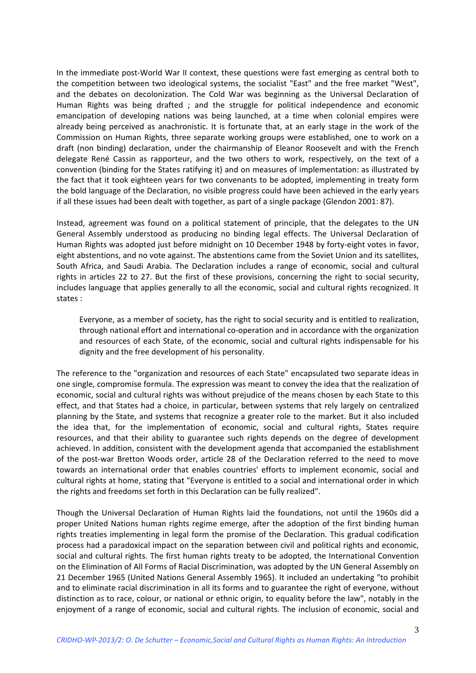In the immediate post‐World War II context, these questions were fast emerging as central both to the competition between two ideological systems, the socialist "East" and the free market "West", and the debates on decolonization. The Cold War was beginning as the Universal Declaration of Human Rights was being drafted ; and the struggle for political independence and economic emancipation of developing nations was being launched, at a time when colonial empires were already being perceived as anachronistic. It is fortunate that, at an early stage in the work of the Commission on Human Rights, three separate working groups were established, one to work on a draft (non binding) declaration, under the chairmanship of Eleanor Roosevelt and with the French delegate René Cassin as rapporteur, and the two others to work, respectively, on the text of a convention (binding for the States ratifying it) and on measures of implementation: as illustrated by the fact that it took eighteen years for two convenants to be adopted, implementing in treaty form the bold language of the Declaration, no visible progress could have been achieved in the early years if all these issues had been dealt with together, as part of a single package (Glendon 2001: 87).

Instead, agreement was found on a political statement of principle, that the delegates to the UN General Assembly understood as producing no binding legal effects. The Universal Declaration of Human Rights was adopted just before midnight on 10 December 1948 by forty-eight votes in favor, eight abstentions, and no vote against. The abstentions came from the Soviet Union and its satellites, South Africa, and Saudi Arabia. The Declaration includes a range of economic, social and cultural rights in articles 22 to 27. But the first of these provisions, concerning the right to social security, includes language that applies generally to all the economic, social and cultural rights recognized. It states :

Everyone, as a member of society, has the right to social security and is entitled to realization, through national effort and international co-operation and in accordance with the organization and resources of each State, of the economic, social and cultural rights indispensable for his dignity and the free development of his personality.

The reference to the "organization and resources of each State" encapsulated two separate ideas in one single, compromise formula. The expression was meant to convey the idea that the realization of economic, social and cultural rights was without prejudice of the means chosen by each State to this effect, and that States had a choice, in particular, between systems that rely largely on centralized planning by the State, and systems that recognize a greater role to the market. But it also included the idea that, for the implementation of economic, social and cultural rights, States require resources, and that their ability to guarantee such rights depends on the degree of development achieved. In addition, consistent with the development agenda that accompanied the establishment of the post‐war Bretton Woods order, article 28 of the Declaration referred to the need to move towards an international order that enables countries' efforts to implement economic, social and cultural rights at home, stating that "Everyone is entitled to a social and international order in which the rights and freedoms set forth in this Declaration can be fully realized".

Though the Universal Declaration of Human Rights laid the foundations, not until the 1960s did a proper United Nations human rights regime emerge, after the adoption of the first binding human rights treaties implementing in legal form the promise of the Declaration. This gradual codification process had a paradoxical impact on the separation between civil and political rights and economic, social and cultural rights. The first human rights treaty to be adopted, the International Convention on the Elimination of All Forms of Racial Discrimination, was adopted by the UN General Assembly on 21 December 1965 (United Nations General Assembly 1965). It included an undertaking "to prohibit and to eliminate racial discrimination in all its forms and to guarantee the right of everyone, without distinction as to race, colour, or national or ethnic origin, to equality before the law", notably in the enjoyment of a range of economic, social and cultural rights. The inclusion of economic, social and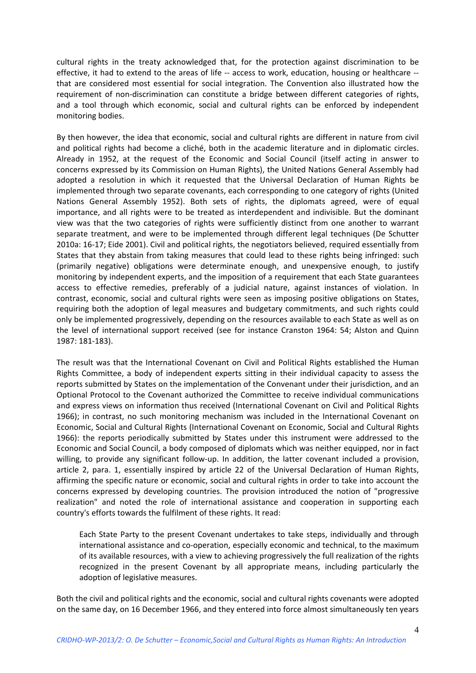cultural rights in the treaty acknowledged that, for the protection against discrimination to be effective, it had to extend to the areas of life -- access to work, education, housing or healthcare -that are considered most essential for social integration. The Convention also illustrated how the requirement of non-discrimination can constitute a bridge between different categories of rights, and a tool through which economic, social and cultural rights can be enforced by independent monitoring bodies.

By then however, the idea that economic, social and cultural rights are different in nature from civil and political rights had become a cliché, both in the academic literature and in diplomatic circles. Already in 1952, at the request of the Economic and Social Council (itself acting in answer to concerns expressed by its Commission on Human Rights), the United Nations General Assembly had adopted a resolution in which it requested that the Universal Declaration of Human Rights be implemented through two separate covenants, each corresponding to one category of rights (United Nations General Assembly 1952). Both sets of rights, the diplomats agreed, were of equal importance, and all rights were to be treated as interdependent and indivisible. But the dominant view was that the two categories of rights were sufficiently distinct from one another to warrant separate treatment, and were to be implemented through different legal techniques (De Schutter 2010a: 16‐17; Eide 2001). Civil and political rights, the negotiators believed, required essentially from States that they abstain from taking measures that could lead to these rights being infringed: such (primarily negative) obligations were determinate enough, and unexpensive enough, to justify monitoring by independent experts, and the imposition of a requirement that each State guarantees access to effective remedies, preferably of a judicial nature, against instances of violation. In contrast, economic, social and cultural rights were seen as imposing positive obligations on States, requiring both the adoption of legal measures and budgetary commitments, and such rights could only be implemented progressively, depending on the resources available to each State as well as on the level of international support received (see for instance Cranston 1964: 54; Alston and Quinn 1987: 181‐183).

The result was that the International Covenant on Civil and Political Rights established the Human Rights Committee, a body of independent experts sitting in their individual capacity to assess the reports submitted by States on the implementation of the Convenant under their jurisdiction, and an Optional Protocol to the Covenant authorized the Committee to receive individual communications and express views on information thus received (International Covenant on Civil and Political Rights 1966); in contrast, no such monitoring mechanism was included in the International Covenant on Economic, Social and Cultural Rights (International Covenant on Economic, Social and Cultural Rights 1966): the reports periodically submitted by States under this instrument were addressed to the Economic and Social Council, a body composed of diplomats which was neither equipped, nor in fact willing, to provide any significant follow-up. In addition, the latter covenant included a provision, article 2, para. 1, essentially inspired by article 22 of the Universal Declaration of Human Rights, affirming the specific nature or economic, social and cultural rights in order to take into account the concerns expressed by developing countries. The provision introduced the notion of "progressive realization" and noted the role of international assistance and cooperation in supporting each country's efforts towards the fulfilment of these rights. It read:

Each State Party to the present Covenant undertakes to take steps, individually and through international assistance and co‐operation, especially economic and technical, to the maximum of its available resources, with a view to achieving progressively the full realization of the rights recognized in the present Covenant by all appropriate means, including particularly the adoption of legislative measures.

Both the civil and political rights and the economic, social and cultural rights covenants were adopted on the same day, on 16 December 1966, and they entered into force almost simultaneously ten years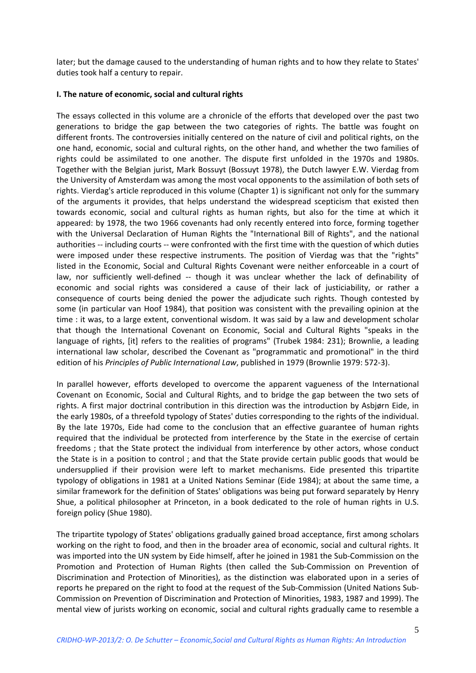later; but the damage caused to the understanding of human rights and to how they relate to States' duties took half a century to repair.

#### **I. The nature of economic, social and cultural rights**

The essays collected in this volume are a chronicle of the efforts that developed over the past two generations to bridge the gap between the two categories of rights. The battle was fought on different fronts. The controversies initially centered on the nature of civil and political rights, on the one hand, economic, social and cultural rights, on the other hand, and whether the two families of rights could be assimilated to one another. The dispute first unfolded in the 1970s and 1980s. Together with the Belgian jurist, Mark Bossuyt (Bossuyt 1978), the Dutch lawyer E.W. Vierdag from the University of Amsterdam was among the most vocal opponents to the assimilation of both sets of rights. Vierdag's article reproduced in this volume (Chapter 1) is significant not only for the summary of the arguments it provides, that helps understand the widespread scepticism that existed then towards economic, social and cultural rights as human rights, but also for the time at which it appeared: by 1978, the two 1966 covenants had only recently entered into force, forming together with the Universal Declaration of Human Rights the "International Bill of Rights", and the national authorities ‐‐ including courts ‐‐ were confronted with the first time with the question of which duties were imposed under these respective instruments. The position of Vierdag was that the "rights" listed in the Economic, Social and Cultural Rights Covenant were neither enforceable in a court of law, nor sufficiently well-defined -- though it was unclear whether the lack of definability of economic and social rights was considered a cause of their lack of justiciability, or rather a consequence of courts being denied the power the adjudicate such rights. Though contested by some (in particular van Hoof 1984), that position was consistent with the prevailing opinion at the time : it was, to a large extent, conventional wisdom. It was said by a law and development scholar that though the International Covenant on Economic, Social and Cultural Rights "speaks in the language of rights, [it] refers to the realities of programs" (Trubek 1984: 231); Brownlie, a leading international law scholar, described the Covenant as "programmatic and promotional" in the third edition of his *Principles of Public International Law*, published in 1979 (Brownlie 1979: 572‐3).

In parallel however, efforts developed to overcome the apparent vagueness of the International Covenant on Economic, Social and Cultural Rights, and to bridge the gap between the two sets of rights. A first major doctrinal contribution in this direction was the introduction by Asbjørn Eide, in the early 1980s, of a threefold typology of States' duties corresponding to the rights of the individual. By the late 1970s, Eide had come to the conclusion that an effective guarantee of human rights required that the individual be protected from interference by the State in the exercise of certain freedoms ; that the State protect the individual from interference by other actors, whose conduct the State is in a position to control ; and that the State provide certain public goods that would be undersupplied if their provision were left to market mechanisms. Eide presented this tripartite typology of obligations in 1981 at a United Nations Seminar (Eide 1984); at about the same time, a similar framework for the definition of States' obligations was being put forward separately by Henry Shue, a political philosopher at Princeton, in a book dedicated to the role of human rights in U.S. foreign policy (Shue 1980).

The tripartite typology of States' obligations gradually gained broad acceptance, first among scholars working on the right to food, and then in the broader area of economic, social and cultural rights. It was imported into the UN system by Eide himself, after he joined in 1981 the Sub‐Commission on the Promotion and Protection of Human Rights (then called the Sub‐Commission on Prevention of Discrimination and Protection of Minorities), as the distinction was elaborated upon in a series of reports he prepared on the right to food at the request of the Sub‐Commission (United Nations Sub‐ Commission on Prevention of Discrimination and Protection of Minorities, 1983, 1987 and 1999). The mental view of jurists working on economic, social and cultural rights gradually came to resemble a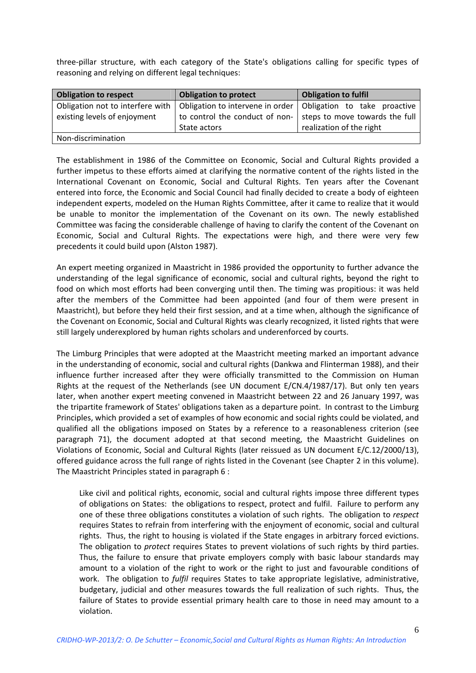three‐pillar structure, with each category of the State's obligations calling for specific types of reasoning and relying on different legal techniques:

| Obligation to respect            | <b>Obligation to protect</b>     | <b>Obligation to fulfil</b>    |
|----------------------------------|----------------------------------|--------------------------------|
| Obligation not to interfere with | Obligation to intervene in order | Obligation to take proactive   |
| existing levels of enjoyment     | to control the conduct of non-   | steps to move towards the full |
|                                  | State actors                     | realization of the right       |
| Non-discrimination               |                                  |                                |

The establishment in 1986 of the Committee on Economic, Social and Cultural Rights provided a further impetus to these efforts aimed at clarifying the normative content of the rights listed in the International Covenant on Economic, Social and Cultural Rights. Ten years after the Covenant entered into force, the Economic and Social Council had finally decided to create a body of eighteen independent experts, modeled on the Human Rights Committee, after it came to realize that it would be unable to monitor the implementation of the Covenant on its own. The newly established Committee was facing the considerable challenge of having to clarify the content of the Covenant on Economic, Social and Cultural Rights. The expectations were high, and there were very few precedents it could build upon (Alston 1987).

An expert meeting organized in Maastricht in 1986 provided the opportunity to further advance the understanding of the legal significance of economic, social and cultural rights, beyond the right to food on which most efforts had been converging until then. The timing was propitious: it was held after the members of the Committee had been appointed (and four of them were present in Maastricht), but before they held their first session, and at a time when, although the significance of the Covenant on Economic, Social and Cultural Rights was clearly recognized, it listed rights that were still largely underexplored by human rights scholars and underenforced by courts.

The Limburg Principles that were adopted at the Maastricht meeting marked an important advance in the understanding of economic, social and cultural rights (Dankwa and Flinterman 1988), and their influence further increased after they were officially transmitted to the Commission on Human Rights at the request of the Netherlands (see UN document E/CN.4/1987/17). But only ten years later, when another expert meeting convened in Maastricht between 22 and 26 January 1997, was the tripartite framework of States' obligations taken as a departure point. In contrast to the Limburg Principles, which provided a set of examples of how economic and social rights could be violated, and qualified all the obligations imposed on States by a reference to a reasonableness criterion (see paragraph 71), the document adopted at that second meeting, the Maastricht Guidelines on Violations of Economic, Social and Cultural Rights (later reissued as UN document E/C.12/2000/13), offered guidance across the full range of rights listed in the Covenant (see Chapter 2 in this volume). The Maastricht Principles stated in paragraph 6 :

Like civil and political rights, economic, social and cultural rights impose three different types of obligations on States: the obligations to respect, protect and fulfil. Failure to perform any one of these three obligations constitutes a violation of such rights. The obligation to *respect* requires States to refrain from interfering with the enjoyment of economic, social and cultural rights. Thus, the right to housing is violated if the State engages in arbitrary forced evictions. The obligation to *protect* requires States to prevent violations of such rights by third parties. Thus, the failure to ensure that private employers comply with basic labour standards may amount to a violation of the right to work or the right to just and favourable conditions of work. The obligation to *fulfil* requires States to take appropriate legislative, administrative, budgetary, judicial and other measures towards the full realization of such rights. Thus, the failure of States to provide essential primary health care to those in need may amount to a violation.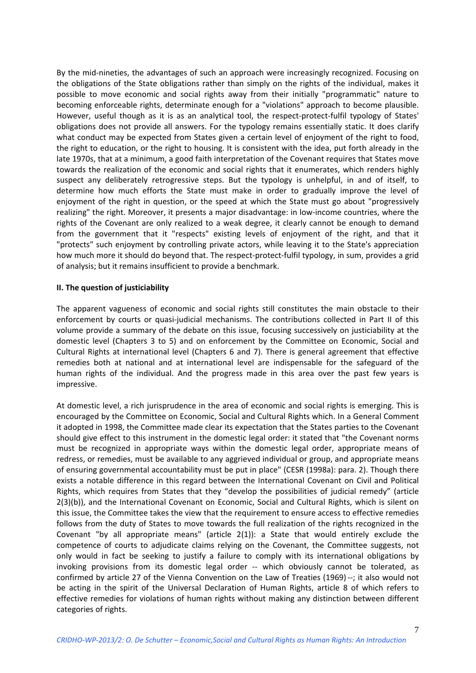By the mid‐nineties, the advantages of such an approach were increasingly recognized. Focusing on the obligations of the State obligations rather than simply on the rights of the individual, makes it possible to move economic and social rights away from their initially "programmatic" nature to becoming enforceable rights, determinate enough for a "violations" approach to become plausible. However, useful though as it is as an analytical tool, the respect-protect-fulfil typology of States' obligations does not provide all answers. For the typology remains essentially static. It does clarify what conduct may be expected from States given a certain level of enjoyment of the right to food, the right to education, or the right to housing. It is consistent with the idea, put forth already in the late 1970s, that at a minimum, a good faith interpretation of the Covenant requires that States move towards the realization of the economic and social rights that it enumerates, which renders highly suspect any deliberately retrogressive steps. But the typology is unhelpful, in and of itself, to determine how much efforts the State must make in order to gradually improve the level of enjoyment of the right in question, or the speed at which the State must go about "progressively realizing" the right. Moreover, it presents a major disadvantage: in low‐income countries, where the rights of the Covenant are only realized to a weak degree, it clearly cannot be enough to demand from the government that it "respects" existing levels of enjoyment of the right, and that it "protects" such enjoyment by controlling private actors, while leaving it to the State's appreciation how much more it should do beyond that. The respect-protect-fulfil typology, in sum, provides a grid of analysis; but it remains insufficient to provide a benchmark.

#### **II. The question of justiciability**

The apparent vagueness of economic and social rights still constitutes the main obstacle to their enforcement by courts or quasi‐judicial mechanisms. The contributions collected in Part II of this volume provide a summary of the debate on this issue, focusing successively on justiciability at the domestic level (Chapters 3 to 5) and on enforcement by the Committee on Economic, Social and Cultural Rights at international level (Chapters 6 and 7). There is general agreement that effective remedies both at national and at international level are indispensable for the safeguard of the human rights of the individual. And the progress made in this area over the past few years is impressive.

At domestic level, a rich jurisprudence in the area of economic and social rights is emerging. This is encouraged by the Committee on Economic, Social and Cultural Rights which. In a General Comment it adopted in 1998, the Committee made clear its expectation that the States parties to the Covenant should give effect to this instrument in the domestic legal order: it stated that "the Covenant norms must be recognized in appropriate ways within the domestic legal order, appropriate means of redress, or remedies, must be available to any aggrieved individual or group, and appropriate means of ensuring governmental accountability must be put in place" (CESR (1998a): para. 2). Though there exists a notable difference in this regard between the International Covenant on Civil and Political Rights, which requires from States that they "develop the possibilities of judicial remedy" (article 2(3)(b)), and the International Covenant on Economic, Social and Cultural Rights, which is silent on this issue, the Committee takes the view that the requirement to ensure access to effective remedies follows from the duty of States to move towards the full realization of the rights recognized in the Covenant "by all appropriate means" (article  $2(1)$ ): a State that would entirely exclude the competence of courts to adjudicate claims relying on the Covenant, the Committee suggests, not only would in fact be seeking to justify a failure to comply with its international obligations by invoking provisions from its domestic legal order -- which obviously cannot be tolerated, as confirmed by article 27 of the Vienna Convention on the Law of Treaties (1969)‐‐; it also would not be acting in the spirit of the Universal Declaration of Human Rights, article 8 of which refers to effective remedies for violations of human rights without making any distinction between different categories of rights.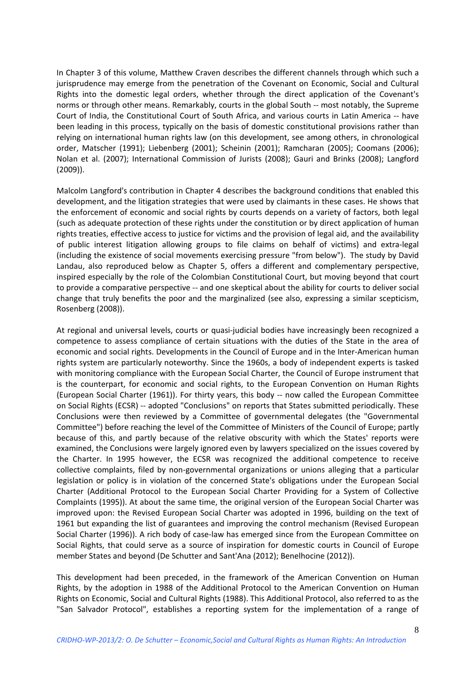In Chapter 3 of this volume, Matthew Craven describes the different channels through which such a jurisprudence may emerge from the penetration of the Covenant on Economic, Social and Cultural Rights into the domestic legal orders, whether through the direct application of the Covenant's norms or through other means. Remarkably, courts in the global South ‐‐ most notably, the Supreme Court of India, the Constitutional Court of South Africa, and various courts in Latin America ‐‐ have been leading in this process, typically on the basis of domestic constitutional provisions rather than relying on international human rights law (on this development, see among others, in chronological order, Matscher (1991); Liebenberg (2001); Scheinin (2001); Ramcharan (2005); Coomans (2006); Nolan et al. (2007); International Commission of Jurists (2008); Gauri and Brinks (2008); Langford (2009)).

Malcolm Langford's contribution in Chapter 4 describes the background conditions that enabled this development, and the litigation strategies that were used by claimants in these cases. He shows that the enforcement of economic and social rights by courts depends on a variety of factors, both legal (such as adequate protection of these rights under the constitution or by direct application of human rights treaties, effective access to justice for victims and the provision of legal aid, and the availability of public interest litigation allowing groups to file claims on behalf of victims) and extra‐legal (including the existence of social movements exercising pressure "from below"). The study by David Landau, also reproduced below as Chapter 5, offers a different and complementary perspective, inspired especially by the role of the Colombian Constitutional Court, but moving beyond that court to provide a comparative perspective ‐‐ and one skeptical about the ability for courts to deliver social change that truly benefits the poor and the marginalized (see also, expressing a similar scepticism, Rosenberg (2008)).

At regional and universal levels, courts or quasi-judicial bodies have increasingly been recognized a competence to assess compliance of certain situations with the duties of the State in the area of economic and social rights. Developments in the Council of Europe and in the Inter-American human rights system are particularly noteworthy. Since the 1960s, a body of independent experts is tasked with monitoring compliance with the European Social Charter, the Council of Europe instrument that is the counterpart, for economic and social rights, to the European Convention on Human Rights (European Social Charter (1961)). For thirty years, this body ‐‐ now called the European Committee on Social Rights (ECSR) ‐‐ adopted "Conclusions" on reports that States submitted periodically. These Conclusions were then reviewed by a Committee of governmental delegates (the "Governmental Committee") before reaching the level of the Committee of Ministers of the Council of Europe; partly because of this, and partly because of the relative obscurity with which the States' reports were examined, the Conclusions were largely ignored even by lawyers specialized on the issues covered by the Charter. In 1995 however, the ECSR was recognized the additional competence to receive collective complaints, filed by non‐governmental organizations or unions alleging that a particular legislation or policy is in violation of the concerned State's obligations under the European Social Charter (Additional Protocol to the European Social Charter Providing for a System of Collective Complaints (1995)). At about the same time, the original version of the European Social Charter was improved upon: the Revised European Social Charter was adopted in 1996, building on the text of 1961 but expanding the list of guarantees and improving the control mechanism (Revised European Social Charter (1996)). A rich body of case‐law has emerged since from the European Committee on Social Rights, that could serve as a source of inspiration for domestic courts in Council of Europe member States and beyond (De Schutter and Sant'Ana (2012); Benelhocine (2012)).

This development had been preceded, in the framework of the American Convention on Human Rights, by the adoption in 1988 of the Additional Protocol to the American Convention on Human Rights on Economic, Social and Cultural Rights (1988). This Additional Protocol, also referred to as the "San Salvador Protocol", establishes a reporting system for the implementation of a range of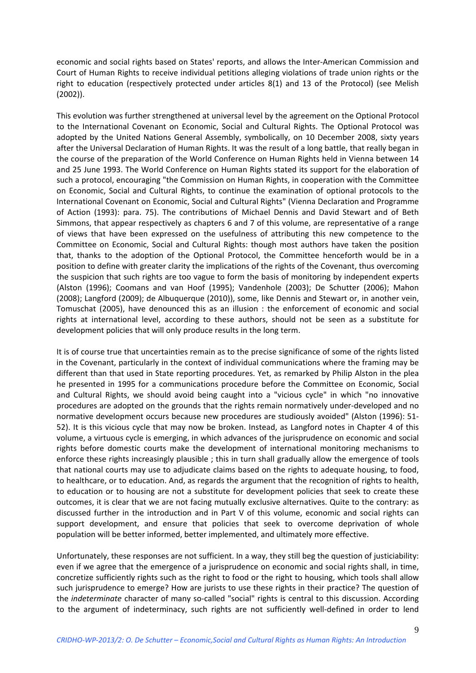economic and social rights based on States' reports, and allows the Inter‐American Commission and Court of Human Rights to receive individual petitions alleging violations of trade union rights or the right to education (respectively protected under articles 8(1) and 13 of the Protocol) (see Melish (2002)).

This evolution was further strengthened at universal level by the agreement on the Optional Protocol to the International Covenant on Economic, Social and Cultural Rights. The Optional Protocol was adopted by the United Nations General Assembly, symbolically, on 10 December 2008, sixty years after the Universal Declaration of Human Rights. It was the result of a long battle, that really began in the course of the preparation of the World Conference on Human Rights held in Vienna between 14 and 25 June 1993. The World Conference on Human Rights stated its support for the elaboration of such a protocol, encouraging "the Commission on Human Rights, in cooperation with the Committee on Economic, Social and Cultural Rights, to continue the examination of optional protocols to the International Covenant on Economic, Social and Cultural Rights" (Vienna Declaration and Programme of Action (1993): para. 75). The contributions of Michael Dennis and David Stewart and of Beth Simmons, that appear respectively as chapters 6 and 7 of this volume, are representative of a range of views that have been expressed on the usefulness of attributing this new competence to the Committee on Economic, Social and Cultural Rights: though most authors have taken the position that, thanks to the adoption of the Optional Protocol, the Committee henceforth would be in a position to define with greater clarity the implications of the rights of the Covenant, thus overcoming the suspicion that such rights are too vague to form the basis of monitoring by independent experts (Alston (1996); Coomans and van Hoof (1995); Vandenhole (2003); De Schutter (2006); Mahon (2008); Langford (2009); de Albuquerque (2010)), some, like Dennis and Stewart or, in another vein, Tomuschat (2005), have denounced this as an illusion : the enforcement of economic and social rights at international level, according to these authors, should not be seen as a substitute for development policies that will only produce results in the long term.

It is of course true that uncertainties remain as to the precise significance of some of the rights listed in the Covenant, particularly in the context of individual communications where the framing may be different than that used in State reporting procedures. Yet, as remarked by Philip Alston in the plea he presented in 1995 for a communications procedure before the Committee on Economic, Social and Cultural Rights, we should avoid being caught into a "vicious cycle" in which "no innovative procedures are adopted on the grounds that the rights remain normatively under‐developed and no normative development occurs because new procedures are studiously avoided" (Alston (1996): 51‐ 52). It is this vicious cycle that may now be broken. Instead, as Langford notes in Chapter 4 of this volume, a virtuous cycle is emerging, in which advances of the jurisprudence on economic and social rights before domestic courts make the development of international monitoring mechanisms to enforce these rights increasingly plausible ; this in turn shall gradually allow the emergence of tools that national courts may use to adjudicate claims based on the rights to adequate housing, to food, to healthcare, or to education. And, as regards the argument that the recognition of rights to health, to education or to housing are not a substitute for development policies that seek to create these outcomes, it is clear that we are not facing mutually exclusive alternatives. Quite to the contrary: as discussed further in the introduction and in Part V of this volume, economic and social rights can support development, and ensure that policies that seek to overcome deprivation of whole population will be better informed, better implemented, and ultimately more effective.

Unfortunately, these responses are not sufficient. In a way, they still beg the question of justiciability: even if we agree that the emergence of a jurisprudence on economic and social rights shall, in time, concretize sufficiently rights such as the right to food or the right to housing, which tools shall allow such jurisprudence to emerge? How are jurists to use these rights in their practice? The question of the *indeterminate* character of many so-called "social" rights is central to this discussion. According to the argument of indeterminacy, such rights are not sufficiently well‐defined in order to lend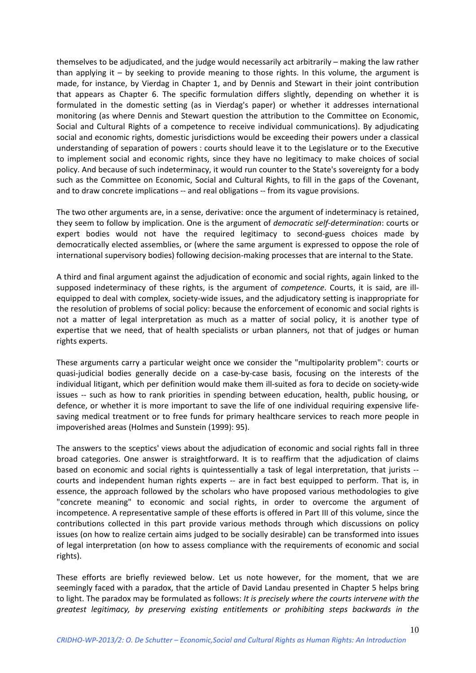themselves to be adjudicated, and the judge would necessarily act arbitrarily – making the law rather than applying it – by seeking to provide meaning to those rights. In this volume, the argument is made, for instance, by Vierdag in Chapter 1, and by Dennis and Stewart in their joint contribution that appears as Chapter 6. The specific formulation differs slightly, depending on whether it is formulated in the domestic setting (as in Vierdag's paper) or whether it addresses international monitoring (as where Dennis and Stewart question the attribution to the Committee on Economic, Social and Cultural Rights of a competence to receive individual communications). By adjudicating social and economic rights, domestic jurisdictions would be exceeding their powers under a classical understanding of separation of powers : courts should leave it to the Legislature or to the Executive to implement social and economic rights, since they have no legitimacy to make choices of social policy. And because of such indeterminacy, it would run counter to the State's sovereignty for a body such as the Committee on Economic, Social and Cultural Rights, to fill in the gaps of the Covenant, and to draw concrete implications ‐‐ and real obligations ‐‐ from its vague provisions.

The two other arguments are, in a sense, derivative: once the argument of indeterminacy is retained, they seem to follow by implication. One is the argument of *democratic self‐determination*: courts or expert bodies would not have the required legitimacy to second-guess choices made by democratically elected assemblies, or (where the same argument is expressed to oppose the role of international supervisory bodies) following decision‐making processes that are internal to the State.

A third and final argument against the adjudication of economic and social rights, again linked to the supposed indeterminacy of these rights, is the argument of *competence*. Courts, it is said, are illequipped to deal with complex, society‐wide issues, and the adjudicatory setting is inappropriate for the resolution of problems of social policy: because the enforcement of economic and social rights is not a matter of legal interpretation as much as a matter of social policy, it is another type of expertise that we need, that of health specialists or urban planners, not that of judges or human rights experts.

These arguments carry a particular weight once we consider the "multipolarity problem": courts or quasi‐judicial bodies generally decide on a case‐by‐case basis, focusing on the interests of the individual litigant, which per definition would make them ill-suited as fora to decide on society-wide issues -- such as how to rank priorities in spending between education, health, public housing, or defence, or whether it is more important to save the life of one individual requiring expensive lifesaving medical treatment or to free funds for primary healthcare services to reach more people in impoverished areas (Holmes and Sunstein (1999): 95).

The answers to the sceptics' views about the adjudication of economic and social rights fall in three broad categories. One answer is straightforward. It is to reaffirm that the adjudication of claims based on economic and social rights is quintessentially a task of legal interpretation, that jurists -courts and independent human rights experts -- are in fact best equipped to perform. That is, in essence, the approach followed by the scholars who have proposed various methodologies to give "concrete meaning" to economic and social rights, in order to overcome the argument of incompetence. A representative sample of these efforts is offered in Part III of this volume, since the contributions collected in this part provide various methods through which discussions on policy issues (on how to realize certain aims judged to be socially desirable) can be transformed into issues of legal interpretation (on how to assess compliance with the requirements of economic and social rights).

These efforts are briefly reviewed below. Let us note however, for the moment, that we are seemingly faced with a paradox, that the article of David Landau presented in Chapter 5 helps bring to light. The paradox may be formulated as follows: *It is precisely where the courts intervene with the greatest legitimacy, by preserving existing entitlements or prohibiting steps backwards in the*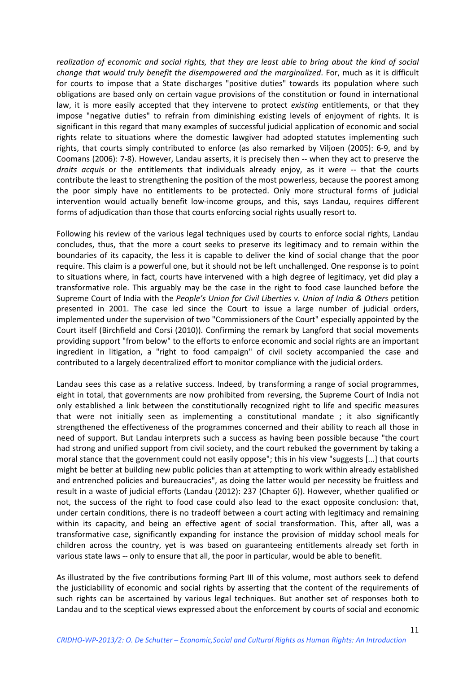realization of economic and social rights, that they are least able to bring about the kind of social *change that would truly benefit the disempowered and the marginalized*. For, much as it is difficult for courts to impose that a State discharges "positive duties" towards its population where such obligations are based only on certain vague provisions of the constitution or found in international law, it is more easily accepted that they intervene to protect *existing* entitlements, or that they impose "negative duties" to refrain from diminishing existing levels of enjoyment of rights. It is significant in this regard that many examples of successful judicial application of economic and social rights relate to situations where the domestic lawgiver had adopted statutes implementing such rights, that courts simply contributed to enforce (as also remarked by Viljoen (2005): 6‐9, and by Coomans (2006): 7‐8). However, Landau asserts, it is precisely then ‐‐ when they act to preserve the *droits acquis* or the entitlements that individuals already enjoy, as it were ‐‐ that the courts contribute the least to strengthening the position of the most powerless, because the poorest among the poor simply have no entitlements to be protected. Only more structural forms of judicial intervention would actually benefit low-income groups, and this, says Landau, requires different forms of adjudication than those that courts enforcing social rights usually resort to.

Following his review of the various legal techniques used by courts to enforce social rights, Landau concludes, thus, that the more a court seeks to preserve its legitimacy and to remain within the boundaries of its capacity, the less it is capable to deliver the kind of social change that the poor require. This claim is a powerful one, but it should not be left unchallenged. One response is to point to situations where, in fact, courts have intervened with a high degree of legitimacy, yet did play a transformative role. This arguably may be the case in the right to food case launched before the Supreme Court of India with the *People's Union for Civil Liberties v. Union of India & Others* petition presented in 2001. The case led since the Court to issue a large number of judicial orders, implemented under the supervision of two "Commissioners of the Court" especially appointed by the Court itself (Birchfield and Corsi (2010)). Confirming the remark by Langford that social movements providing support "from below" to the efforts to enforce economic and social rights are an important ingredient in litigation, a "right to food campaign" of civil society accompanied the case and contributed to a largely decentralized effort to monitor compliance with the judicial orders.

Landau sees this case as a relative success. Indeed, by transforming a range of social programmes, eight in total, that governments are now prohibited from reversing, the Supreme Court of India not only established a link between the constitutionally recognized right to life and specific measures that were not initially seen as implementing a constitutional mandate ; it also significantly strengthened the effectiveness of the programmes concerned and their ability to reach all those in need of support. But Landau interprets such a success as having been possible because "the court had strong and unified support from civil society, and the court rebuked the government by taking a moral stance that the government could not easily oppose"; this in his view "suggests [...] that courts might be better at building new public policies than at attempting to work within already established and entrenched policies and bureaucracies", as doing the latter would per necessity be fruitless and result in a waste of judicial efforts (Landau (2012): 237 (Chapter 6)). However, whether qualified or not, the success of the right to food case could also lead to the exact opposite conclusion: that, under certain conditions, there is no tradeoff between a court acting with legitimacy and remaining within its capacity, and being an effective agent of social transformation. This, after all, was a transformative case, significantly expanding for instance the provision of midday school meals for children across the country, yet is was based on guaranteeing entitlements already set forth in various state laws ‐‐ only to ensure that all, the poor in particular, would be able to benefit.

As illustrated by the five contributions forming Part III of this volume, most authors seek to defend the justiciability of economic and social rights by asserting that the content of the requirements of such rights can be ascertained by various legal techniques. But another set of responses both to Landau and to the sceptical views expressed about the enforcement by courts of social and economic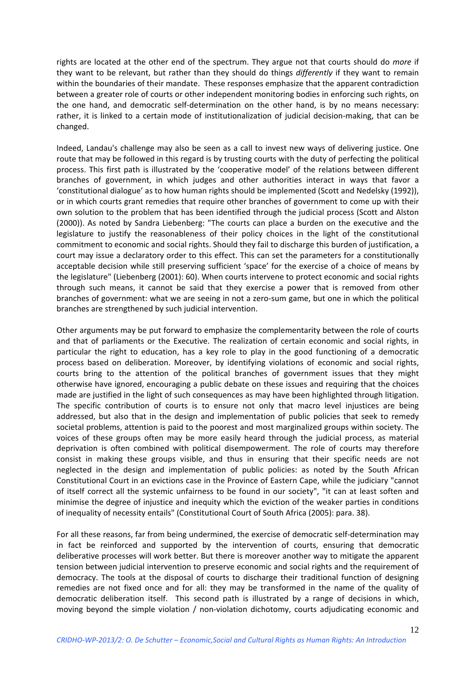rights are located at the other end of the spectrum. They argue not that courts should do *more* if they want to be relevant, but rather than they should do things *differently* if they want to remain within the boundaries of their mandate. These responses emphasize that the apparent contradiction between a greater role of courts or other independent monitoring bodies in enforcing such rights, on the one hand, and democratic self‐determination on the other hand, is by no means necessary: rather, it is linked to a certain mode of institutionalization of judicial decision-making, that can be changed.

Indeed, Landau's challenge may also be seen as a call to invest new ways of delivering justice. One route that may be followed in this regard is by trusting courts with the duty of perfecting the political process. This first path is illustrated by the 'cooperative model' of the relations between different branches of government, in which judges and other authorities interact in ways that favor a 'constitutional dialogue' as to how human rights should be implemented (Scott and Nedelsky (1992)), or in which courts grant remedies that require other branches of government to come up with their own solution to the problem that has been identified through the judicial process (Scott and Alston (2000)). As noted by Sandra Liebenberg: "The courts can place a burden on the executive and the legislature to justify the reasonableness of their policy choices in the light of the constitutional commitment to economic and social rights. Should they fail to discharge this burden of justification, a court may issue a declaratory order to this effect. This can set the parameters for a constitutionally acceptable decision while still preserving sufficient 'space' for the exercise of a choice of means by the legislature" (Liebenberg (2001): 60). When courts intervene to protect economic and social rights through such means, it cannot be said that they exercise a power that is removed from other branches of government: what we are seeing in not a zero‐sum game, but one in which the political branches are strengthened by such judicial intervention.

Other arguments may be put forward to emphasize the complementarity between the role of courts and that of parliaments or the Executive. The realization of certain economic and social rights, in particular the right to education, has a key role to play in the good functioning of a democratic process based on deliberation. Moreover, by identifying violations of economic and social rights, courts bring to the attention of the political branches of government issues that they might otherwise have ignored, encouraging a public debate on these issues and requiring that the choices made are justified in the light of such consequences as may have been highlighted through litigation. The specific contribution of courts is to ensure not only that macro level injustices are being addressed, but also that in the design and implementation of public policies that seek to remedy societal problems, attention is paid to the poorest and most marginalized groups within society. The voices of these groups often may be more easily heard through the judicial process, as material deprivation is often combined with political disempowerment. The role of courts may therefore consist in making these groups visible, and thus in ensuring that their specific needs are not neglected in the design and implementation of public policies: as noted by the South African Constitutional Court in an evictions case in the Province of Eastern Cape, while the judiciary "cannot of itself correct all the systemic unfairness to be found in our society", "it can at least soften and minimise the degree of injustice and inequity which the eviction of the weaker parties in conditions of inequality of necessity entails" (Constitutional Court of South Africa (2005): para. 38).

For all these reasons, far from being undermined, the exercise of democratic self-determination may in fact be reinforced and supported by the intervention of courts, ensuring that democratic deliberative processes will work better. But there is moreover another way to mitigate the apparent tension between judicial intervention to preserve economic and social rights and the requirement of democracy. The tools at the disposal of courts to discharge their traditional function of designing remedies are not fixed once and for all: they may be transformed in the name of the quality of democratic deliberation itself. This second path is illustrated by a range of decisions in which, moving beyond the simple violation / non-violation dichotomy, courts adjudicating economic and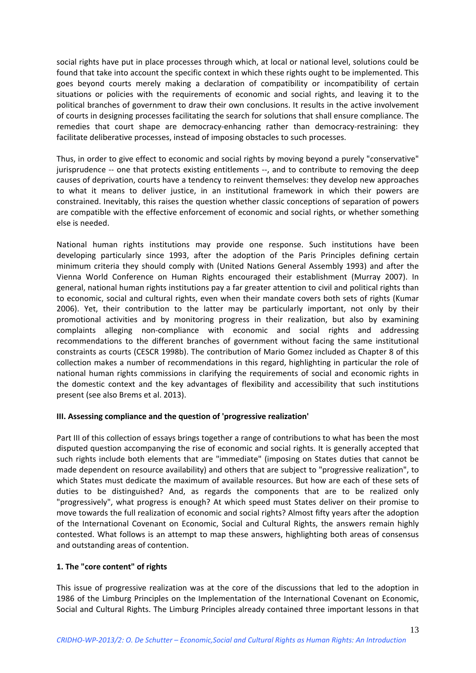social rights have put in place processes through which, at local or national level, solutions could be found that take into account the specific context in which these rights ought to be implemented. This goes beyond courts merely making a declaration of compatibility or incompatibility of certain situations or policies with the requirements of economic and social rights, and leaving it to the political branches of government to draw their own conclusions. It results in the active involvement of courts in designing processes facilitating the search for solutions that shall ensure compliance. The remedies that court shape are democracy-enhancing rather than democracy-restraining: they facilitate deliberative processes, instead of imposing obstacles to such processes.

Thus, in order to give effect to economic and social rights by moving beyond a purely "conservative" jurisprudence -- one that protects existing entitlements --, and to contribute to removing the deep causes of deprivation, courts have a tendency to reinvent themselves: they develop new approaches to what it means to deliver justice, in an institutional framework in which their powers are constrained. Inevitably, this raises the question whether classic conceptions of separation of powers are compatible with the effective enforcement of economic and social rights, or whether something else is needed.

National human rights institutions may provide one response. Such institutions have been developing particularly since 1993, after the adoption of the Paris Principles defining certain minimum criteria they should comply with (United Nations General Assembly 1993) and after the Vienna World Conference on Human Rights encouraged their establishment (Murray 2007). In general, national human rights institutions pay a far greater attention to civil and political rights than to economic, social and cultural rights, even when their mandate covers both sets of rights (Kumar 2006). Yet, their contribution to the latter may be particularly important, not only by their promotional activities and by monitoring progress in their realization, but also by examining complaints alleging non‐compliance with economic and social rights and addressing recommendations to the different branches of government without facing the same institutional constraints as courts (CESCR 1998b). The contribution of Mario Gomez included as Chapter 8 of this collection makes a number of recommendations in this regard, highlighting in particular the role of national human rights commissions in clarifying the requirements of social and economic rights in the domestic context and the key advantages of flexibility and accessibility that such institutions present (see also Brems et al. 2013).

#### **III. Assessing compliance and the question of 'progressive realization'**

Part III of this collection of essays brings together a range of contributions to what has been the most disputed question accompanying the rise of economic and social rights. It is generally accepted that such rights include both elements that are "immediate" (imposing on States duties that cannot be made dependent on resource availability) and others that are subject to "progressive realization", to which States must dedicate the maximum of available resources. But how are each of these sets of duties to be distinguished? And, as regards the components that are to be realized only "progressively", what progress is enough? At which speed must States deliver on their promise to move towards the full realization of economic and social rights? Almost fifty years after the adoption of the International Covenant on Economic, Social and Cultural Rights, the answers remain highly contested. What follows is an attempt to map these answers, highlighting both areas of consensus and outstanding areas of contention.

# **1. The "core content" of rights**

This issue of progressive realization was at the core of the discussions that led to the adoption in 1986 of the Limburg Principles on the Implementation of the International Covenant on Economic, Social and Cultural Rights. The Limburg Principles already contained three important lessons in that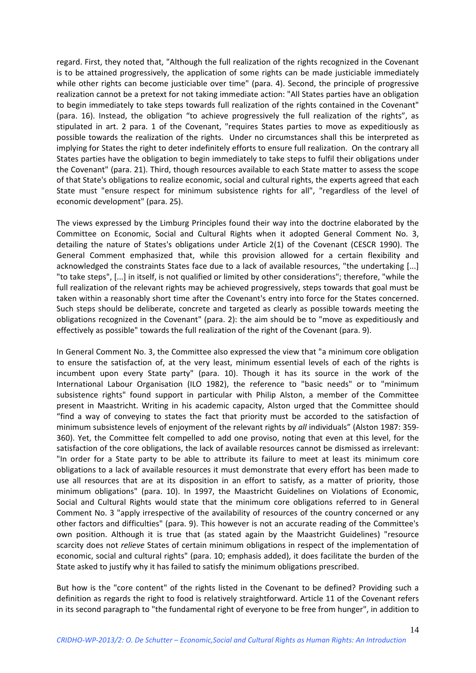regard. First, they noted that, "Although the full realization of the rights recognized in the Covenant is to be attained progressively, the application of some rights can be made justiciable immediately while other rights can become justiciable over time" (para. 4). Second, the principle of progressive realization cannot be a pretext for not taking immediate action: "All States parties have an obligation to begin immediately to take steps towards full realization of the rights contained in the Covenant" (para. 16). Instead, the obligation "to achieve progressively the full realization of the rights", as stipulated in art. 2 para. 1 of the Covenant, "requires States parties to move as expeditiously as possible towards the realization of the rights. Under no circumstances shall this be interpreted as implying for States the right to deter indefinitely efforts to ensure full realization. On the contrary all States parties have the obligation to begin immediately to take steps to fulfil their obligations under the Covenant" (para. 21). Third, though resources available to each State matter to assess the scope of that State's obligations to realize economic, social and cultural rights, the experts agreed that each State must "ensure respect for minimum subsistence rights for all", "regardless of the level of economic development" (para. 25).

The views expressed by the Limburg Principles found their way into the doctrine elaborated by the Committee on Economic, Social and Cultural Rights when it adopted General Comment No. 3, detailing the nature of States's obligations under Article 2(1) of the Covenant (CESCR 1990). The General Comment emphasized that, while this provision allowed for a certain flexibility and acknowledged the constraints States face due to a lack of available resources, "the undertaking [...] "to take steps", [...] in itself, is not qualified or limited by other considerations"; therefore, "while the full realization of the relevant rights may be achieved progressively, steps towards that goal must be taken within a reasonably short time after the Covenant's entry into force for the States concerned. Such steps should be deliberate, concrete and targeted as clearly as possible towards meeting the obligations recognized in the Covenant" (para. 2): the aim should be to "move as expeditiously and effectively as possible" towards the full realization of the right of the Covenant (para. 9).

In General Comment No. 3, the Committee also expressed the view that "a minimum core obligation to ensure the satisfaction of, at the very least, minimum essential levels of each of the rights is incumbent upon every State party" (para. 10). Though it has its source in the work of the International Labour Organisation (ILO 1982), the reference to "basic needs" or to "minimum subsistence rights" found support in particular with Philip Alston, a member of the Committee present in Maastricht. Writing in his academic capacity, Alston urged that the Committee should "find a way of conveying to states the fact that priority must be accorded to the satisfaction of minimum subsistence levels of enjoyment of the relevant rights by *all* individuals" (Alston 1987: 359‐ 360). Yet, the Committee felt compelled to add one proviso, noting that even at this level, for the satisfaction of the core obligations, the lack of available resources cannot be dismissed as irrelevant: "In order for a State party to be able to attribute its failure to meet at least its minimum core obligations to a lack of available resources it must demonstrate that every effort has been made to use all resources that are at its disposition in an effort to satisfy, as a matter of priority, those minimum obligations" (para. 10). In 1997, the Maastricht Guidelines on Violations of Economic, Social and Cultural Rights would state that the minimum core obligations referred to in General Comment No. 3 "apply irrespective of the availability of resources of the country concerned or any other factors and difficulties" (para. 9). This however is not an accurate reading of the Committee's own position. Although it is true that (as stated again by the Maastricht Guidelines) "resource scarcity does not *relieve* States of certain minimum obligations in respect of the implementation of economic, social and cultural rights" (para. 10; emphasis added), it does facilitate the burden of the State asked to justify why it has failed to satisfy the minimum obligations prescribed.

But how is the "core content" of the rights listed in the Covenant to be defined? Providing such a definition as regards the right to food is relatively straightforward. Article 11 of the Covenant refers in its second paragraph to "the fundamental right of everyone to be free from hunger", in addition to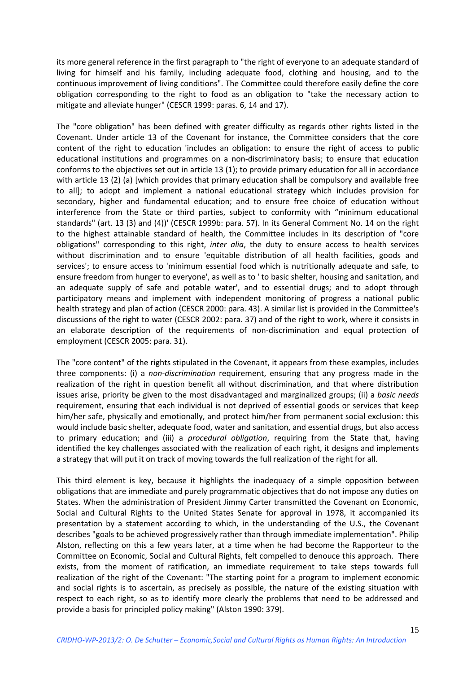its more general reference in the first paragraph to "the right of everyone to an adequate standard of living for himself and his family, including adequate food, clothing and housing, and to the continuous improvement of living conditions". The Committee could therefore easily define the core obligation corresponding to the right to food as an obligation to "take the necessary action to mitigate and alleviate hunger" (CESCR 1999: paras. 6, 14 and 17).

The "core obligation" has been defined with greater difficulty as regards other rights listed in the Covenant. Under article 13 of the Covenant for instance, the Committee considers that the core content of the right to education 'includes an obligation: to ensure the right of access to public educational institutions and programmes on a non‐discriminatory basis; to ensure that education conforms to the objectives set out in article 13 (1); to provide primary education for all in accordance with article 13 (2) (a) [which provides that primary education shall be compulsory and available free to all]; to adopt and implement a national educational strategy which includes provision for secondary, higher and fundamental education; and to ensure free choice of education without interference from the State or third parties, subject to conformity with "minimum educational standards" (art. 13 (3) and (4))' (CESCR 1999b: para. 57). In its General Comment No. 14 on the right to the highest attainable standard of health, the Committee includes in its description of "core obligations" corresponding to this right, *inter alia*, the duty to ensure access to health services without discrimination and to ensure 'equitable distribution of all health facilities, goods and services'; to ensure access to 'minimum essential food which is nutritionally adequate and safe, to ensure freedom from hunger to everyone', as well as to ' to basic shelter, housing and sanitation, and an adequate supply of safe and potable water', and to essential drugs; and to adopt through participatory means and implement with independent monitoring of progress a national public health strategy and plan of action (CESCR 2000: para. 43). A similar list is provided in the Committee's discussions of the right to water (CESCR 2002: para. 37) and of the right to work, where it consists in an elaborate description of the requirements of non‐discrimination and equal protection of employment (CESCR 2005: para. 31).

The "core content" of the rights stipulated in the Covenant, it appears from these examples, includes three components: (i) a *non‐discrimination* requirement, ensuring that any progress made in the realization of the right in question benefit all without discrimination, and that where distribution issues arise, priority be given to the most disadvantaged and marginalized groups; (ii) a *basic needs* requirement, ensuring that each individual is not deprived of essential goods or services that keep him/her safe, physically and emotionally, and protect him/her from permanent social exclusion: this would include basic shelter, adequate food, water and sanitation, and essential drugs, but also access to primary education; and (iii) a *procedural obligation*, requiring from the State that, having identified the key challenges associated with the realization of each right, it designs and implements a strategy that will put it on track of moving towards the full realization of the right for all.

This third element is key, because it highlights the inadequacy of a simple opposition between obligations that are immediate and purely programmatic objectives that do not impose any duties on States. When the administration of President Jimmy Carter transmitted the Covenant on Economic, Social and Cultural Rights to the United States Senate for approval in 1978, it accompanied its presentation by a statement according to which, in the understanding of the U.S., the Covenant describes "goals to be achieved progressively rather than through immediate implementation". Philip Alston, reflecting on this a few years later, at a time when he had become the Rapporteur to the Committee on Economic, Social and Cultural Rights, felt compelled to denouce this approach. There exists, from the moment of ratification, an immediate requirement to take steps towards full realization of the right of the Covenant: "The starting point for a program to implement economic and social rights is to ascertain, as precisely as possible, the nature of the existing situation with respect to each right, so as to identify more clearly the problems that need to be addressed and provide a basis for principled policy making" (Alston 1990: 379).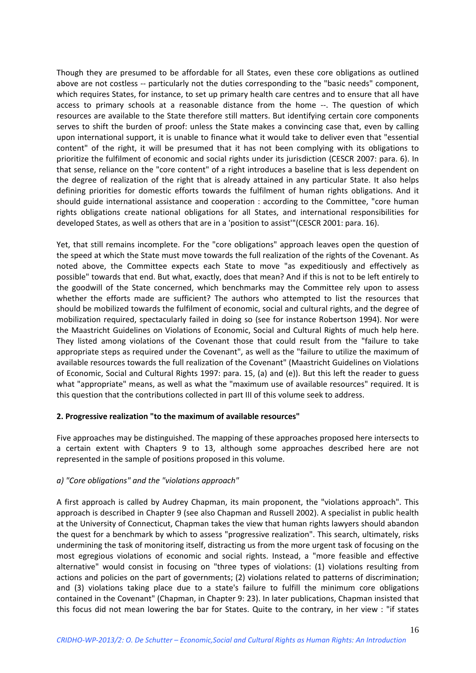Though they are presumed to be affordable for all States, even these core obligations as outlined above are not costless -- particularly not the duties corresponding to the "basic needs" component, which requires States, for instance, to set up primary health care centres and to ensure that all have access to primary schools at a reasonable distance from the home ‐‐. The question of which resources are available to the State therefore still matters. But identifying certain core components serves to shift the burden of proof: unless the State makes a convincing case that, even by calling upon international support, it is unable to finance what it would take to deliver even that "essential content" of the right, it will be presumed that it has not been complying with its obligations to prioritize the fulfilment of economic and social rights under its jurisdiction (CESCR 2007: para. 6). In that sense, reliance on the "core content" of a right introduces a baseline that is less dependent on the degree of realization of the right that is already attained in any particular State. It also helps defining priorities for domestic efforts towards the fulfilment of human rights obligations. And it should guide international assistance and cooperation : according to the Committee, "core human rights obligations create national obligations for all States, and international responsibilities for developed States, as well as others that are in a 'position to assist'"(CESCR 2001: para. 16).

Yet, that still remains incomplete. For the "core obligations" approach leaves open the question of the speed at which the State must move towards the full realization of the rights of the Covenant. As noted above, the Committee expects each State to move "as expeditiously and effectively as possible" towards that end. But what, exactly, does that mean? And if this is not to be left entirely to the goodwill of the State concerned, which benchmarks may the Committee rely upon to assess whether the efforts made are sufficient? The authors who attempted to list the resources that should be mobilized towards the fulfilment of economic, social and cultural rights, and the degree of mobilization required, spectacularly failed in doing so (see for instance Robertson 1994). Nor were the Maastricht Guidelines on Violations of Economic, Social and Cultural Rights of much help here. They listed among violations of the Covenant those that could result from the "failure to take appropriate steps as required under the Covenant", as well as the "failure to utilize the maximum of available resources towards the full realization of the Covenant" (Maastricht Guidelines on Violations of Economic, Social and Cultural Rights 1997: para. 15, (a) and (e)). But this left the reader to guess what "appropriate" means, as well as what the "maximum use of available resources" required. It is this question that the contributions collected in part III of this volume seek to address.

#### **2. Progressive realization "to the maximum of available resources"**

Five approaches may be distinguished. The mapping of these approaches proposed here intersects to a certain extent with Chapters 9 to 13, although some approaches described here are not represented in the sample of positions proposed in this volume.

# *a) "Core obligations" and the "violations approach"*

A first approach is called by Audrey Chapman, its main proponent, the "violations approach". This approach is described in Chapter 9 (see also Chapman and Russell 2002). A specialist in public health at the University of Connecticut, Chapman takes the view that human rights lawyers should abandon the quest for a benchmark by which to assess "progressive realization". This search, ultimately, risks undermining the task of monitoring itself, distracting us from the more urgent task of focusing on the most egregious violations of economic and social rights. Instead, a "more feasible and effective alternative" would consist in focusing on "three types of violations: (1) violations resulting from actions and policies on the part of governments; (2) violations related to patterns of discrimination; and (3) violations taking place due to a state's failure to fulfill the minimum core obligations contained in the Covenant" (Chapman, in Chapter 9: 23). In later publications, Chapman insisted that this focus did not mean lowering the bar for States. Quite to the contrary, in her view : "if states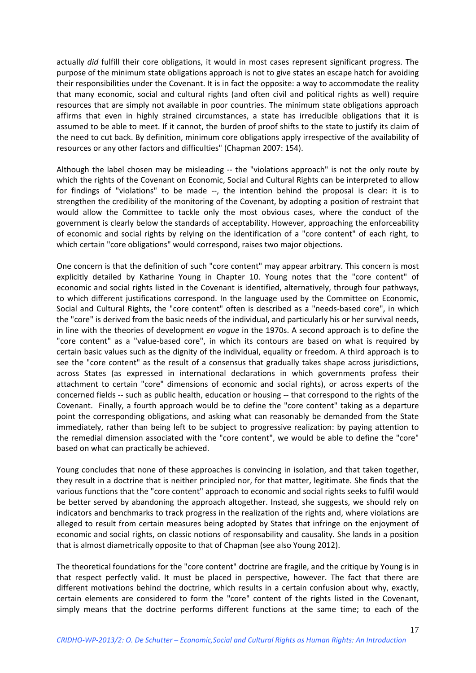actually *did* fulfill their core obligations, it would in most cases represent significant progress. The purpose of the minimum state obligations approach is not to give states an escape hatch for avoiding their responsibilities under the Covenant. It is in fact the opposite: a way to accommodate the reality that many economic, social and cultural rights (and often civil and political rights as well) require resources that are simply not available in poor countries. The minimum state obligations approach affirms that even in highly strained circumstances, a state has irreducible obligations that it is assumed to be able to meet. If it cannot, the burden of proof shifts to the state to justify its claim of the need to cut back. By definition, minimum core obligations apply irrespective of the availability of resources or any other factors and difficulties" (Chapman 2007: 154).

Although the label chosen may be misleading -- the "violations approach" is not the only route by which the rights of the Covenant on Economic, Social and Cultural Rights can be interpreted to allow for findings of "violations" to be made --, the intention behind the proposal is clear: it is to strengthen the credibility of the monitoring of the Covenant, by adopting a position of restraint that would allow the Committee to tackle only the most obvious cases, where the conduct of the government is clearly below the standards of acceptability. However, approaching the enforceability of economic and social rights by relying on the identification of a "core content" of each right, to which certain "core obligations" would correspond, raises two major objections.

One concern is that the definition of such "core content" may appear arbitrary. This concern is most explicitly detailed by Katharine Young in Chapter 10. Young notes that the "core content" of economic and social rights listed in the Covenant is identified, alternatively, through four pathways, to which different justifications correspond. In the language used by the Committee on Economic, Social and Cultural Rights, the "core content" often is described as a "needs‐based core", in which the "core" is derived from the basic needs of the individual, and particularly his or her survival needs, in line with the theories of development *en vogue* in the 1970s. A second approach is to define the "core content" as a "value-based core", in which its contours are based on what is required by certain basic values such as the dignity of the individual, equality or freedom. A third approach is to see the "core content" as the result of a consensus that gradually takes shape across jurisdictions, across States (as expressed in international declarations in which governments profess their attachment to certain "core" dimensions of economic and social rights), or across experts of the concerned fields ‐‐ such as public health, education or housing ‐‐ that correspond to the rights of the Covenant. Finally, a fourth approach would be to define the "core content" taking as a departure point the corresponding obligations, and asking what can reasonably be demanded from the State immediately, rather than being left to be subject to progressive realization: by paying attention to the remedial dimension associated with the "core content", we would be able to define the "core" based on what can practically be achieved.

Young concludes that none of these approaches is convincing in isolation, and that taken together, they result in a doctrine that is neither principled nor, for that matter, legitimate. She finds that the various functions that the "core content" approach to economic and social rights seeks to fulfil would be better served by abandoning the approach altogether. Instead, she suggests, we should rely on indicators and benchmarks to track progress in the realization of the rights and, where violations are alleged to result from certain measures being adopted by States that infringe on the enjoyment of economic and social rights, on classic notions of responsability and causality. She lands in a position that is almost diametrically opposite to that of Chapman (see also Young 2012).

The theoretical foundations for the "core content" doctrine are fragile, and the critique by Young is in that respect perfectly valid. It must be placed in perspective, however. The fact that there are different motivations behind the doctrine, which results in a certain confusion about why, exactly, certain elements are considered to form the "core" content of the rights listed in the Covenant, simply means that the doctrine performs different functions at the same time; to each of the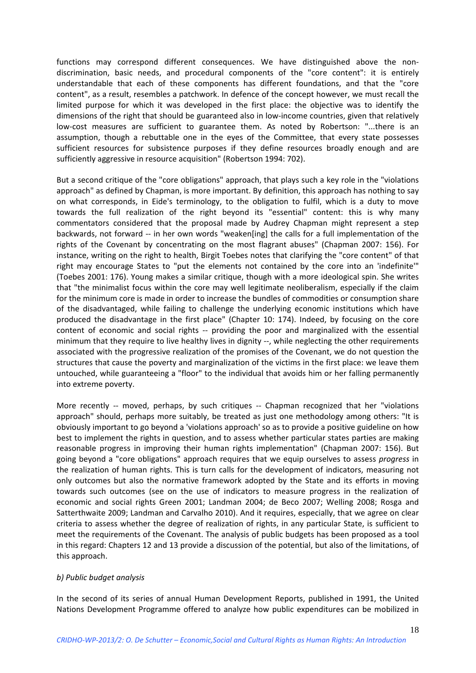functions may correspond different consequences. We have distinguished above the nondiscrimination, basic needs, and procedural components of the "core content": it is entirely understandable that each of these components has different foundations, and that the "core content", as a result, resembles a patchwork. In defence of the concept however, we must recall the limited purpose for which it was developed in the first place: the objective was to identify the dimensions of the right that should be guaranteed also in low-income countries, given that relatively low-cost measures are sufficient to guarantee them. As noted by Robertson: "...there is an assumption, though a rebuttable one in the eyes of the Committee, that every state possesses sufficient resources for subsistence purposes if they define resources broadly enough and are sufficiently aggressive in resource acquisition" (Robertson 1994: 702).

But a second critique of the "core obligations" approach, that plays such a key role in the "violations approach" as defined by Chapman, is more important. By definition, this approach has nothing to say on what corresponds, in Eide's terminology, to the obligation to fulfil, which is a duty to move towards the full realization of the right beyond its "essential" content: this is why many commentators considered that the proposal made by Audrey Chapman might represent a step backwards, not forward ‐‐ in her own words "weaken[ing] the calls for a full implementation of the rights of the Covenant by concentrating on the most flagrant abuses" (Chapman 2007: 156). For instance, writing on the right to health, Birgit Toebes notes that clarifying the "core content" of that right may encourage States to "put the elements not contained by the core into an 'indefinite'" (Toebes 2001: 176). Young makes a similar critique, though with a more ideological spin. She writes that "the minimalist focus within the core may well legitimate neoliberalism, especially if the claim for the minimum core is made in order to increase the bundles of commodities or consumption share of the disadvantaged, while failing to challenge the underlying economic institutions which have produced the disadvantage in the first place" (Chapter 10: 174). Indeed, by focusing on the core content of economic and social rights -- providing the poor and marginalized with the essential minimum that they require to live healthy lives in dignity --, while neglecting the other requirements associated with the progressive realization of the promises of the Covenant, we do not question the structures that cause the poverty and marginalization of the victims in the first place: we leave them untouched, while guaranteeing a "floor" to the individual that avoids him or her falling permanently into extreme poverty.

More recently -- moved, perhaps, by such critiques -- Chapman recognized that her "violations" approach" should, perhaps more suitably, be treated as just one methodology among others: "It is obviously important to go beyond a 'violations approach' so as to provide a positive guideline on how best to implement the rights in question, and to assess whether particular states parties are making reasonable progress in improving their human rights implementation" (Chapman 2007: 156). But going beyond a "core obligations" approach requires that we equip ourselves to assess *progress* in the realization of human rights. This is turn calls for the development of indicators, measuring not only outcomes but also the normative framework adopted by the State and its efforts in moving towards such outcomes (see on the use of indicators to measure progress in the realization of economic and social rights Green 2001; Landman 2004; de Beco 2007; Welling 2008; Rosga and Satterthwaite 2009; Landman and Carvalho 2010). And it requires, especially, that we agree on clear criteria to assess whether the degree of realization of rights, in any particular State, is sufficient to meet the requirements of the Covenant. The analysis of public budgets has been proposed as a tool in this regard: Chapters 12 and 13 provide a discussion of the potential, but also of the limitations, of this approach.

#### *b) Public budget analysis*

In the second of its series of annual Human Development Reports, published in 1991, the United Nations Development Programme offered to analyze how public expenditures can be mobilized in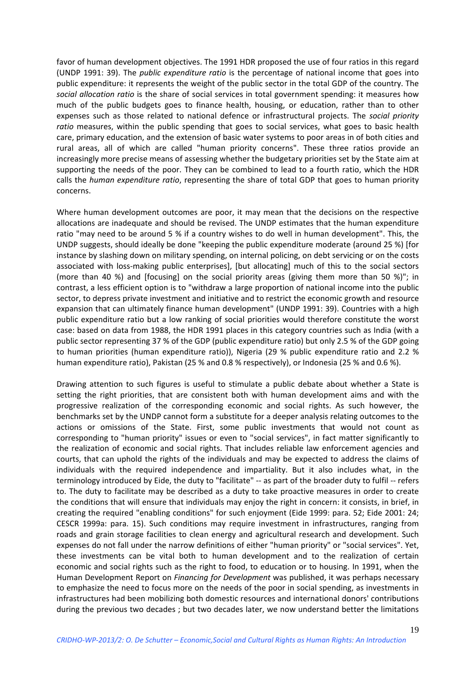favor of human development objectives. The 1991 HDR proposed the use of four ratios in this regard (UNDP 1991: 39). The *public expenditure ratio* is the percentage of national income that goes into public expenditure: it represents the weight of the public sector in the total GDP of the country. The *social allocation ratio* is the share of social services in total government spending: it measures how much of the public budgets goes to finance health, housing, or education, rather than to other expenses such as those related to national defence or infrastructural projects. The *social priority ratio* measures, within the public spending that goes to social services, what goes to basic health care, primary education, and the extension of basic water systems to poor areas in of both cities and rural areas, all of which are called "human priority concerns". These three ratios provide an increasingly more precise means of assessing whether the budgetary priorities set by the State aim at supporting the needs of the poor. They can be combined to lead to a fourth ratio, which the HDR calls the *human expenditure ratio*, representing the share of total GDP that goes to human priority concerns.

Where human development outcomes are poor, it may mean that the decisions on the respective allocations are inadequate and should be revised. The UNDP estimates that the human expenditure ratio "may need to be around 5 % if a country wishes to do well in human development". This, the UNDP suggests, should ideally be done "keeping the public expenditure moderate (around 25 %) [for instance by slashing down on military spending, on internal policing, on debt servicing or on the costs associated with loss-making public enterprises], [but allocating] much of this to the social sectors (more than 40 %) and [focusing] on the social priority areas (giving them more than 50 %)"; in contrast, a less efficient option is to "withdraw a large proportion of national income into the public sector, to depress private investment and initiative and to restrict the economic growth and resource expansion that can ultimately finance human development" (UNDP 1991: 39). Countries with a high public expenditure ratio but a low ranking of social priorities would therefore constitute the worst case: based on data from 1988, the HDR 1991 places in this category countries such as India (with a public sector representing 37 % of the GDP (public expenditure ratio) but only 2.5 % of the GDP going to human priorities (human expenditure ratio)), Nigeria (29 % public expenditure ratio and 2.2 % human expenditure ratio), Pakistan (25 % and 0.8 % respectively), or Indonesia (25 % and 0.6 %).

Drawing attention to such figures is useful to stimulate a public debate about whether a State is setting the right priorities, that are consistent both with human development aims and with the progressive realization of the corresponding economic and social rights. As such however, the benchmarks set by the UNDP cannot form a substitute for a deeper analysis relating outcomes to the actions or omissions of the State. First, some public investments that would not count as corresponding to "human priority" issues or even to "social services", in fact matter significantly to the realization of economic and social rights. That includes reliable law enforcement agencies and courts, that can uphold the rights of the individuals and may be expected to address the claims of individuals with the required independence and impartiality. But it also includes what, in the terminology introduced by Eide, the duty to "facilitate" ‐‐ as part of the broader duty to fulfil ‐‐ refers to. The duty to facilitate may be described as a duty to take proactive measures in order to create the conditions that will ensure that individuals may enjoy the right in concern: it consists, in brief, in creating the required "enabling conditions" for such enjoyment (Eide 1999: para. 52; Eide 2001: 24; CESCR 1999a: para. 15). Such conditions may require investment in infrastructures, ranging from roads and grain storage facilities to clean energy and agricultural research and development. Such expenses do not fall under the narrow definitions of either "human priority" or "social services". Yet, these investments can be vital both to human development and to the realization of certain economic and social rights such as the right to food, to education or to housing. In 1991, when the Human Development Report on *Financing for Development* was published, it was perhaps necessary to emphasize the need to focus more on the needs of the poor in social spending, as investments in infrastructures had been mobilizing both domestic resources and international donors' contributions during the previous two decades ; but two decades later, we now understand better the limitations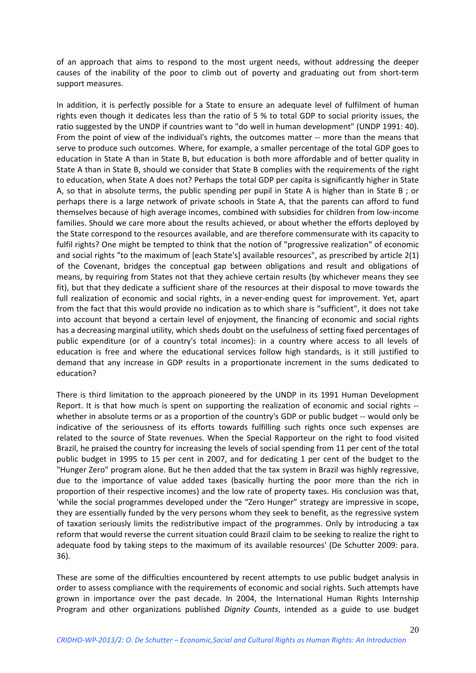of an approach that aims to respond to the most urgent needs, without addressing the deeper causes of the inability of the poor to climb out of poverty and graduating out from short‐term support measures.

In addition, it is perfectly possible for a State to ensure an adequate level of fulfilment of human rights even though it dedicates less than the ratio of 5 % to total GDP to social priority issues, the ratio suggested by the UNDP if countries want to "do well in human development" (UNDP 1991: 40). From the point of view of the individual's rights, the outcomes matter -- more than the means that serve to produce such outcomes. Where, for example, a smaller percentage of the total GDP goes to education in State A than in State B, but education is both more affordable and of better quality in State A than in State B, should we consider that State B complies with the requirements of the right to education, when State A does not? Perhaps the total GDP per capita is significantly higher in State A, so that in absolute terms, the public spending per pupil in State A is higher than in State B ; or perhaps there is a large network of private schools in State A, that the parents can afford to fund themselves because of high average incomes, combined with subsidies for children from low‐income families. Should we care more about the results achieved, or about whether the efforts deployed by the State correspond to the resources available, and are therefore commensurate with its capacity to fulfil rights? One might be tempted to think that the notion of "progressive realization" of economic and social rights "to the maximum of [each State's] available resources", as prescribed by article 2(1) of the Covenant, bridges the conceptual gap between obligations and result and obligations of means, by requiring from States not that they achieve certain results (by whichever means they see fit), but that they dedicate a sufficient share of the resources at their disposal to move towards the full realization of economic and social rights, in a never-ending quest for improvement. Yet, apart from the fact that this would provide no indication as to which share is "sufficient", it does not take into account that beyond a certain level of enjoyment, the financing of economic and social rights has a decreasing marginal utility, which sheds doubt on the usefulness of setting fixed percentages of public expenditure (or of a country's total incomes): in a country where access to all levels of education is free and where the educational services follow high standards, is it still justified to demand that any increase in GDP results in a proportionate increment in the sums dedicated to education?

There is third limitation to the approach pioneered by the UNDP in its 1991 Human Development Report. It is that how much is spent on supporting the realization of economic and social rights -whether in absolute terms or as a proportion of the country's GDP or public budget -- would only be indicative of the seriousness of its efforts towards fulfilling such rights once such expenses are related to the source of State revenues. When the Special Rapporteur on the right to food visited Brazil, he praised the country for increasing the levels of social spending from 11 per cent of the total public budget in 1995 to 15 per cent in 2007, and for dedicating 1 per cent of the budget to the "Hunger Zero" program alone. But he then added that the tax system in Brazil was highly regressive, due to the importance of value added taxes (basically hurting the poor more than the rich in proportion of their respective incomes) and the low rate of property taxes. His conclusion was that, 'while the social programmes developed under the "Zero Hunger" strategy are impressive in scope, they are essentially funded by the very persons whom they seek to benefit, as the regressive system of taxation seriously limits the redistributive impact of the programmes. Only by introducing a tax reform that would reverse the current situation could Brazil claim to be seeking to realize the right to adequate food by taking steps to the maximum of its available resources' (De Schutter 2009: para. 36).

These are some of the difficulties encountered by recent attempts to use public budget analysis in order to assess compliance with the requirements of economic and social rights. Such attempts have grown in importance over the past decade. In 2004, the International Human Rights Internship Program and other organizations published *Dignity Counts*, intended as a guide to use budget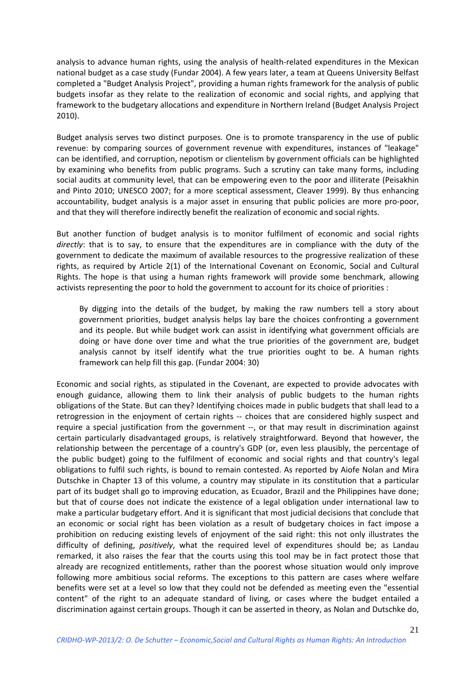analysis to advance human rights, using the analysis of health‐related expenditures in the Mexican national budget as a case study (Fundar 2004). A few years later, a team at Queens University Belfast completed a "Budget Analysis Project", providing a human rights framework for the analysis of public budgets insofar as they relate to the realization of economic and social rights, and applying that framework to the budgetary allocations and expenditure in Northern Ireland (Budget Analysis Project 2010).

Budget analysis serves two distinct purposes. One is to promote transparency in the use of public revenue: by comparing sources of government revenue with expenditures, instances of "leakage" can be identified, and corruption, nepotism or clientelism by government officials can be highlighted by examining who benefits from public programs. Such a scrutiny can take many forms, including social audits at community level, that can be empowering even to the poor and illiterate (Peisakhin and Pinto 2010; UNESCO 2007; for a more sceptical assessment, Cleaver 1999). By thus enhancing accountability, budget analysis is a major asset in ensuring that public policies are more pro‐poor, and that they will therefore indirectly benefit the realization of economic and social rights.

But another function of budget analysis is to monitor fulfilment of economic and social rights *directly*: that is to say, to ensure that the expenditures are in compliance with the duty of the government to dedicate the maximum of available resources to the progressive realization of these rights, as required by Article 2(1) of the International Covenant on Economic, Social and Cultural Rights. The hope is that using a human rights framework will provide some benchmark, allowing activists representing the poor to hold the government to account for its choice of priorities :

By digging into the details of the budget, by making the raw numbers tell a story about government priorities, budget analysis helps lay bare the choices confronting a government and its people. But while budget work can assist in identifying what government officials are doing or have done over time and what the true priorities of the government are, budget analysis cannot by itself identify what the true priorities ought to be. A human rights framework can help fill this gap. (Fundar 2004: 30)

Economic and social rights, as stipulated in the Covenant, are expected to provide advocates with enough guidance, allowing them to link their analysis of public budgets to the human rights obligations of the State. But can they? Identifying choices made in public budgets that shall lead to a retrogression in the enjoyment of certain rights -- choices that are considered highly suspect and require a special justification from the government --, or that may result in discrimination against certain particularly disadvantaged groups, is relatively straightforward. Beyond that however, the relationship between the percentage of a country's GDP (or, even less plausibly, the percentage of the public budget) going to the fulfilment of economic and social rights and that country's legal obligations to fulfil such rights, is bound to remain contested. As reported by Aiofe Nolan and Mira Dutschke in Chapter 13 of this volume, a country may stipulate in its constitution that a particular part of its budget shall go to improving education, as Ecuador, Brazil and the Philippines have done; but that of course does not indicate the existence of a legal obligation under international law to make a particular budgetary effort. And it is significant that most judicial decisions that conclude that an economic or social right has been violation as a result of budgetary choices in fact impose a prohibition on reducing existing levels of enjoyment of the said right: this not only illustrates the difficulty of defining, *positively*, what the required level of expenditures should be; as Landau remarked, it also raises the fear that the courts using this tool may be in fact protect those that already are recognized entitlements, rather than the poorest whose situation would only improve following more ambitious social reforms. The exceptions to this pattern are cases where welfare benefits were set at a level so low that they could not be defended as meeting even the "essential content" of the right to an adequate standard of living, or cases where the budget entailed a discrimination against certain groups. Though it can be asserted in theory, as Nolan and Dutschke do,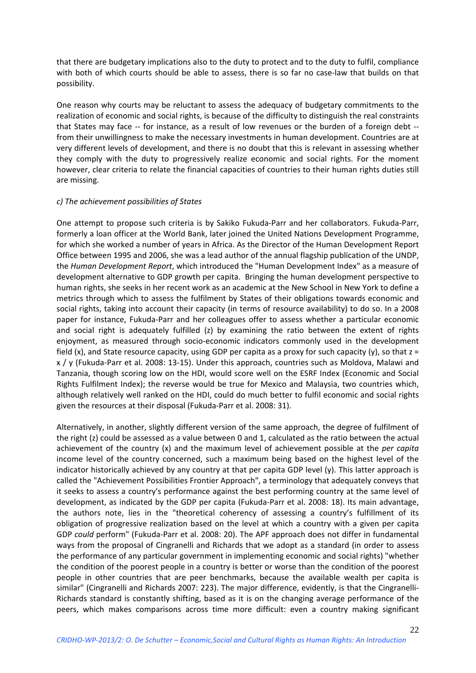that there are budgetary implications also to the duty to protect and to the duty to fulfil, compliance with both of which courts should be able to assess, there is so far no case-law that builds on that possibility.

One reason why courts may be reluctant to assess the adequacy of budgetary commitments to the realization of economic and social rights, is because of the difficulty to distinguish the real constraints that States may face -- for instance, as a result of low revenues or the burden of a foreign debt -from their unwillingness to make the necessary investments in human development. Countries are at very different levels of development, and there is no doubt that this is relevant in assessing whether they comply with the duty to progressively realize economic and social rights. For the moment however, clear criteria to relate the financial capacities of countries to their human rights duties still are missing.

#### *c) The achievement possibilities of States*

One attempt to propose such criteria is by Sakiko Fukuda‐Parr and her collaborators. Fukuda‐Parr, formerly a loan officer at the World Bank, later joined the United Nations Development Programme, for which she worked a number of years in Africa. As the Director of the Human Development Report Office between 1995 and 2006, she was a lead author of the annual flagship publication of the UNDP, the *Human Development Report*, which introduced the "Human Development Index" as a measure of development alternative to GDP growth per capita. Bringing the human development perspective to human rights, she seeks in her recent work as an academic at the New School in New York to define a metrics through which to assess the fulfilment by States of their obligations towards economic and social rights, taking into account their capacity (in terms of resource availability) to do so. In a 2008 paper for instance, Fukuda‐Parr and her colleagues offer to assess whether a particular economic and social right is adequately fulfilled (z) by examining the ratio between the extent of rights enjoyment, as measured through socio‐economic indicators commonly used in the development field (x), and State resource capacity, using GDP per capita as a proxy for such capacity (y), so that  $z =$ x / y (Fukuda‐Parr et al. 2008: 13‐15). Under this approach, countries such as Moldova, Malawi and Tanzania, though scoring low on the HDI, would score well on the ESRF Index (Economic and Social Rights Fulfilment Index); the reverse would be true for Mexico and Malaysia, two countries which, although relatively well ranked on the HDI, could do much better to fulfil economic and social rights given the resources at their disposal (Fukuda‐Parr et al. 2008: 31).

Alternatively, in another, slightly different version of the same approach, the degree of fulfilment of the right (z) could be assessed as a value between 0 and 1, calculated as the ratio between the actual achievement of the country (x) and the maximum level of achievement possible at the *per capita* income level of the country concerned, such a maximum being based on the highest level of the indicator historically achieved by any country at that per capita GDP level (y). This latter approach is called the "Achievement Possibilities Frontier Approach", a terminology that adequately conveys that it seeks to assess a country's performance against the best performing country at the same level of development, as indicated by the GDP per capita (Fukuda‐Parr et al. 2008: 18). Its main advantage, the authors note, lies in the "theoretical coherency of assessing a country's fulfillment of its obligation of progressive realization based on the level at which a country with a given per capita GDP *could* perform" (Fukuda‐Parr et al. 2008: 20). The APF approach does not differ in fundamental ways from the proposal of Cingranelli and Richards that we adopt as a standard (in order to assess the performance of any particular government in implementing economic and social rights) "whether the condition of the poorest people in a country is better or worse than the condition of the poorest people in other countries that are peer benchmarks, because the available wealth per capita is similar" (Cingranelli and Richards 2007: 223). The major difference, evidently, is that the Cingranelli-Richards standard is constantly shifting, based as it is on the changing average performance of the peers, which makes comparisons across time more difficult: even a country making significant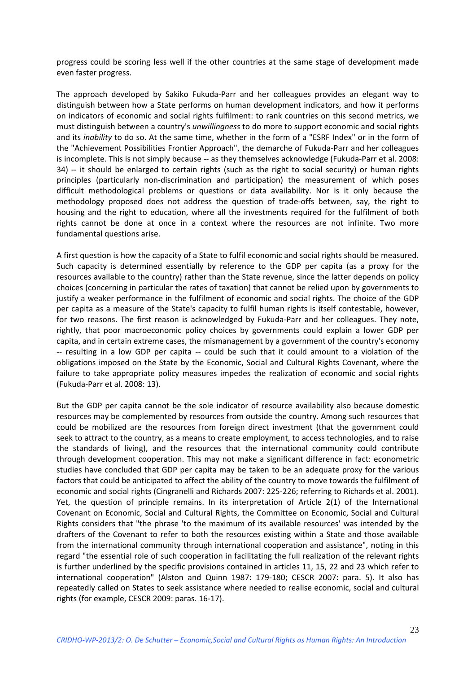progress could be scoring less well if the other countries at the same stage of development made even faster progress.

The approach developed by Sakiko Fukuda‐Parr and her colleagues provides an elegant way to distinguish between how a State performs on human development indicators, and how it performs on indicators of economic and social rights fulfilment: to rank countries on this second metrics, we must distinguish between a country's *unwillingness* to do more to support economic and social rights and its *inability* to do so. At the same time, whether in the form of a "ESRF Index" or in the form of the "Achievement Possibilities Frontier Approach", the demarche of Fukuda‐Parr and her colleagues is incomplete. This is not simply because ‐‐ as they themselves acknowledge (Fukuda‐Parr et al. 2008: 34) -- it should be enlarged to certain rights (such as the right to social security) or human rights principles (particularly non‐discrimination and participation) the measurement of which poses difficult methodological problems or questions or data availability. Nor is it only because the methodology proposed does not address the question of trade‐offs between, say, the right to housing and the right to education, where all the investments required for the fulfilment of both rights cannot be done at once in a context where the resources are not infinite. Two more fundamental questions arise.

A first question is how the capacity of a State to fulfil economic and social rights should be measured. Such capacity is determined essentially by reference to the GDP per capita (as a proxy for the resources available to the country) rather than the State revenue, since the latter depends on policy choices (concerning in particular the rates of taxation) that cannot be relied upon by governments to justify a weaker performance in the fulfilment of economic and social rights. The choice of the GDP per capita as a measure of the State's capacity to fulfil human rights is itself contestable, however, for two reasons. The first reason is acknowledged by Fukuda-Parr and her colleagues. They note, rightly, that poor macroeconomic policy choices by governments could explain a lower GDP per capita, and in certain extreme cases, the mismanagement by a government of the country's economy ‐‐ resulting in a low GDP per capita ‐‐ could be such that it could amount to a violation of the obligations imposed on the State by the Economic, Social and Cultural Rights Covenant, where the failure to take appropriate policy measures impedes the realization of economic and social rights (Fukuda‐Parr et al. 2008: 13).

But the GDP per capita cannot be the sole indicator of resource availability also because domestic resources may be complemented by resources from outside the country. Among such resources that could be mobilized are the resources from foreign direct investment (that the government could seek to attract to the country, as a means to create employment, to access technologies, and to raise the standards of living), and the resources that the international community could contribute through development cooperation. This may not make a significant difference in fact: econometric studies have concluded that GDP per capita may be taken to be an adequate proxy for the various factors that could be anticipated to affect the ability of the country to move towards the fulfilment of economic and social rights (Cingranelli and Richards 2007: 225‐226; referring to Richards et al. 2001). Yet, the question of principle remains. In its interpretation of Article 2(1) of the International Covenant on Economic, Social and Cultural Rights, the Committee on Economic, Social and Cultural Rights considers that "the phrase 'to the maximum of its available resources' was intended by the drafters of the Covenant to refer to both the resources existing within a State and those available from the international community through international cooperation and assistance", noting in this regard "the essential role of such cooperation in facilitating the full realization of the relevant rights is further underlined by the specific provisions contained in articles 11, 15, 22 and 23 which refer to international cooperation" (Alston and Quinn 1987: 179-180; CESCR 2007: para. 5). It also has repeatedly called on States to seek assistance where needed to realise economic, social and cultural rights (for example, CESCR 2009: paras. 16‐17).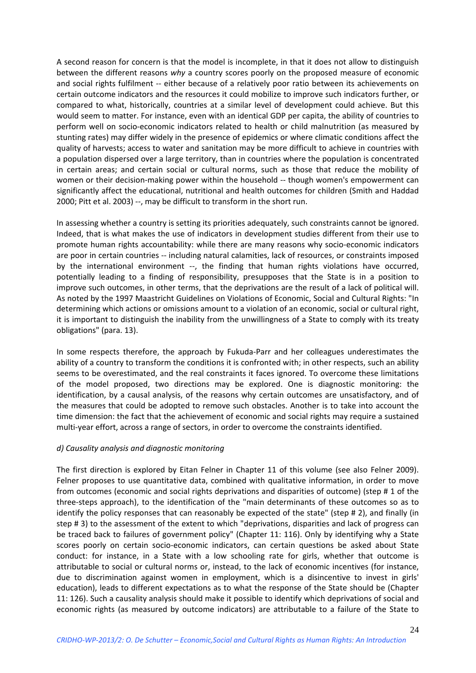A second reason for concern is that the model is incomplete, in that it does not allow to distinguish between the different reasons *why* a country scores poorly on the proposed measure of economic and social rights fulfilment ‐‐ either because of a relatively poor ratio between its achievements on certain outcome indicators and the resources it could mobilize to improve such indicators further, or compared to what, historically, countries at a similar level of development could achieve. But this would seem to matter. For instance, even with an identical GDP per capita, the ability of countries to perform well on socio-economic indicators related to health or child malnutrition (as measured by stunting rates) may differ widely in the presence of epidemics or where climatic conditions affect the quality of harvests; access to water and sanitation may be more difficult to achieve in countries with a population dispersed over a large territory, than in countries where the population is concentrated in certain areas; and certain social or cultural norms, such as those that reduce the mobility of women or their decision-making power within the household -- though women's empowerment can significantly affect the educational, nutritional and health outcomes for children (Smith and Haddad 2000; Pitt et al. 2003) ‐‐, may be difficult to transform in the short run.

In assessing whether a country is setting its priorities adequately, such constraints cannot be ignored. Indeed, that is what makes the use of indicators in development studies different from their use to promote human rights accountability: while there are many reasons why socio‐economic indicators are poor in certain countries ‐‐ including natural calamities, lack of resources, or constraints imposed by the international environment --, the finding that human rights violations have occurred, potentially leading to a finding of responsibility, presupposes that the State is in a position to improve such outcomes, in other terms, that the deprivations are the result of a lack of political will. As noted by the 1997 Maastricht Guidelines on Violations of Economic, Social and Cultural Rights: "In determining which actions or omissions amount to a violation of an economic, social or cultural right, it is important to distinguish the inability from the unwillingness of a State to comply with its treaty obligations" (para. 13).

In some respects therefore, the approach by Fukuda‐Parr and her colleagues underestimates the ability of a country to transform the conditions it is confronted with; in other respects, such an ability seems to be overestimated, and the real constraints it faces ignored. To overcome these limitations of the model proposed, two directions may be explored. One is diagnostic monitoring: the identification, by a causal analysis, of the reasons why certain outcomes are unsatisfactory, and of the measures that could be adopted to remove such obstacles. Another is to take into account the time dimension: the fact that the achievement of economic and social rights may require a sustained multi-year effort, across a range of sectors, in order to overcome the constraints identified.

# *d) Causality analysis and diagnostic monitoring*

The first direction is explored by Eitan Felner in Chapter 11 of this volume (see also Felner 2009). Felner proposes to use quantitative data, combined with qualitative information, in order to move from outcomes (economic and social rights deprivations and disparities of outcome) (step # 1 of the three‐steps approach), to the identification of the "main determinants of these outcomes so as to identify the policy responses that can reasonably be expected of the state" (step # 2), and finally (in step # 3) to the assessment of the extent to which "deprivations, disparities and lack of progress can be traced back to failures of government policy" (Chapter 11: 116). Only by identifying why a State scores poorly on certain socio-economic indicators, can certain questions be asked about State conduct: for instance, in a State with a low schooling rate for girls, whether that outcome is attributable to social or cultural norms or, instead, to the lack of economic incentives (for instance, due to discrimination against women in employment, which is a disincentive to invest in girls' education), leads to different expectations as to what the response of the State should be (Chapter 11: 126). Such a causality analysis should make it possible to identify which deprivations of social and economic rights (as measured by outcome indicators) are attributable to a failure of the State to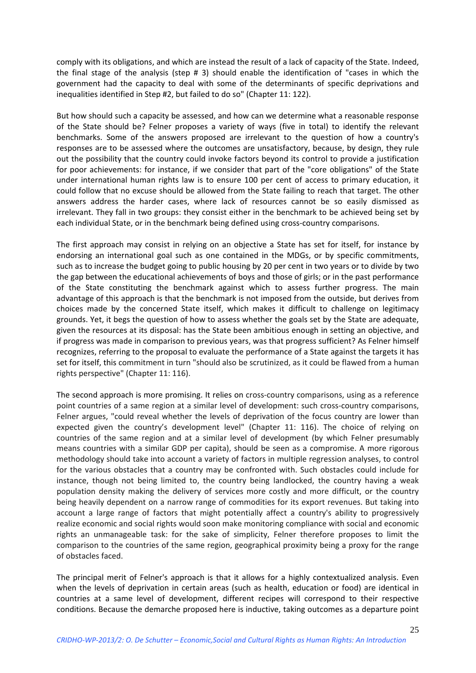comply with its obligations, and which are instead the result of a lack of capacity of the State. Indeed, the final stage of the analysis (step # 3) should enable the identification of "cases in which the government had the capacity to deal with some of the determinants of specific deprivations and inequalities identified in Step #2, but failed to do so" (Chapter 11: 122).

But how should such a capacity be assessed, and how can we determine what a reasonable response of the State should be? Felner proposes a variety of ways (five in total) to identify the relevant benchmarks. Some of the answers proposed are irrelevant to the question of how a country's responses are to be assessed where the outcomes are unsatisfactory, because, by design, they rule out the possibility that the country could invoke factors beyond its control to provide a justification for poor achievements: for instance, if we consider that part of the "core obligations" of the State under international human rights law is to ensure 100 per cent of access to primary education, it could follow that no excuse should be allowed from the State failing to reach that target. The other answers address the harder cases, where lack of resources cannot be so easily dismissed as irrelevant. They fall in two groups: they consist either in the benchmark to be achieved being set by each individual State, or in the benchmark being defined using cross-country comparisons.

The first approach may consist in relying on an objective a State has set for itself, for instance by endorsing an international goal such as one contained in the MDGs, or by specific commitments, such as to increase the budget going to public housing by 20 per cent in two years or to divide by two the gap between the educational achievements of boys and those of girls; or in the past performance of the State constituting the benchmark against which to assess further progress. The main advantage of this approach is that the benchmark is not imposed from the outside, but derives from choices made by the concerned State itself, which makes it difficult to challenge on legitimacy grounds. Yet, it begs the question of how to assess whether the goals set by the State are adequate, given the resources at its disposal: has the State been ambitious enough in setting an objective, and if progress was made in comparison to previous years, was that progress sufficient? As Felner himself recognizes, referring to the proposal to evaluate the performance of a State against the targets it has set for itself, this commitment in turn "should also be scrutinized, as it could be flawed from a human rights perspective" (Chapter 11: 116).

The second approach is more promising. It relies on cross-country comparisons, using as a reference point countries of a same region at a similar level of development: such cross-country comparisons, Felner argues, "could reveal whether the levels of deprivation of the focus country are lower than expected given the country's development level" (Chapter 11: 116). The choice of relying on countries of the same region and at a similar level of development (by which Felner presumably means countries with a similar GDP per capita), should be seen as a compromise. A more rigorous methodology should take into account a variety of factors in multiple regression analyses, to control for the various obstacles that a country may be confronted with. Such obstacles could include for instance, though not being limited to, the country being landlocked, the country having a weak population density making the delivery of services more costly and more difficult, or the country being heavily dependent on a narrow range of commodities for its export revenues. But taking into account a large range of factors that might potentially affect a country's ability to progressively realize economic and social rights would soon make monitoring compliance with social and economic rights an unmanageable task: for the sake of simplicity, Felner therefore proposes to limit the comparison to the countries of the same region, geographical proximity being a proxy for the range of obstacles faced.

The principal merit of Felner's approach is that it allows for a highly contextualized analysis. Even when the levels of deprivation in certain areas (such as health, education or food) are identical in countries at a same level of development, different recipes will correspond to their respective conditions. Because the demarche proposed here is inductive, taking outcomes as a departure point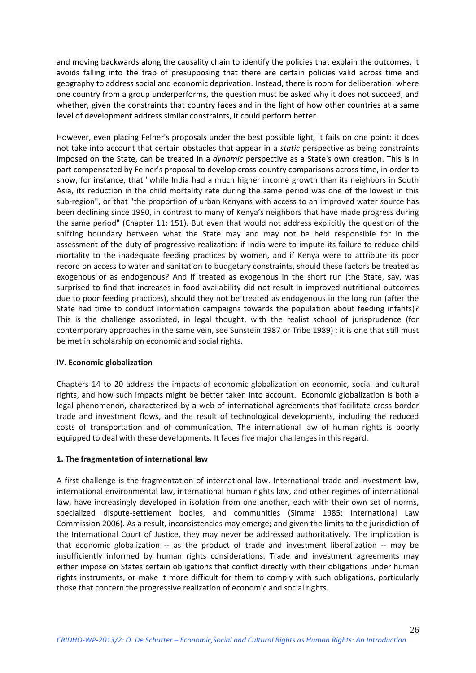and moving backwards along the causality chain to identify the policies that explain the outcomes, it avoids falling into the trap of presupposing that there are certain policies valid across time and geography to address social and economic deprivation. Instead, there is room for deliberation: where one country from a group underperforms, the question must be asked why it does not succeed, and whether, given the constraints that country faces and in the light of how other countries at a same level of development address similar constraints, it could perform better.

However, even placing Felner's proposals under the best possible light, it fails on one point: it does not take into account that certain obstacles that appear in a *static* perspective as being constraints imposed on the State, can be treated in a *dynamic* perspective as a State's own creation. This is in part compensated by Felner's proposal to develop cross-country comparisons across time, in order to show, for instance, that "while India had a much higher income growth than its neighbors in South Asia, its reduction in the child mortality rate during the same period was one of the lowest in this sub‐region", or that "the proportion of urban Kenyans with access to an improved water source has been declining since 1990, in contrast to many of Kenya's neighbors that have made progress during the same period" (Chapter 11: 151). But even that would not address explicitly the question of the shifting boundary between what the State may and may not be held responsible for in the assessment of the duty of progressive realization: if India were to impute its failure to reduce child mortality to the inadequate feeding practices by women, and if Kenya were to attribute its poor record on access to water and sanitation to budgetary constraints, should these factors be treated as exogenous or as endogenous? And if treated as exogenous in the short run (the State, say, was surprised to find that increases in food availability did not result in improved nutritional outcomes due to poor feeding practices), should they not be treated as endogenous in the long run (after the State had time to conduct information campaigns towards the population about feeding infants)? This is the challenge associated, in legal thought, with the realist school of jurisprudence (for contemporary approaches in the same vein, see Sunstein 1987 or Tribe 1989) ; it is one that still must be met in scholarship on economic and social rights.

#### **IV. Economic globalization**

Chapters 14 to 20 address the impacts of economic globalization on economic, social and cultural rights, and how such impacts might be better taken into account. Economic globalization is both a legal phenomenon, characterized by a web of international agreements that facilitate cross‐border trade and investment flows, and the result of technological developments, including the reduced costs of transportation and of communication. The international law of human rights is poorly equipped to deal with these developments. It faces five major challenges in this regard.

#### **1. The fragmentation of international law**

A first challenge is the fragmentation of international law. International trade and investment law, international environmental law, international human rights law, and other regimes of international law, have increasingly developed in isolation from one another, each with their own set of norms, specialized dispute-settlement bodies, and communities (Simma 1985; International Law Commission 2006). As a result, inconsistencies may emerge; and given the limits to the jurisdiction of the International Court of Justice, they may never be addressed authoritatively. The implication is that economic globalization -- as the product of trade and investment liberalization -- may be insufficiently informed by human rights considerations. Trade and investment agreements may either impose on States certain obligations that conflict directly with their obligations under human rights instruments, or make it more difficult for them to comply with such obligations, particularly those that concern the progressive realization of economic and social rights.

26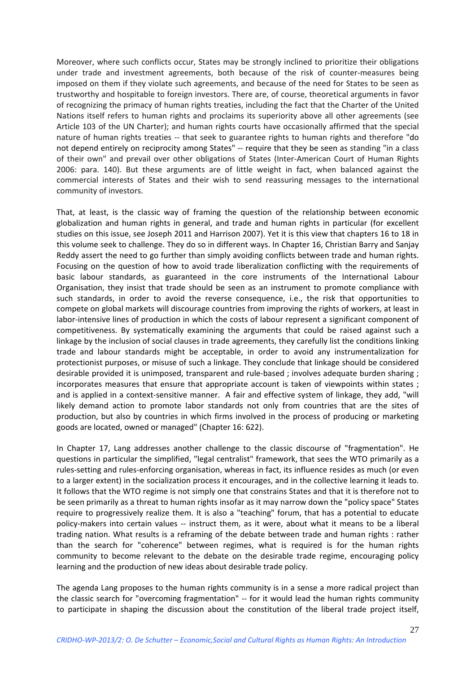Moreover, where such conflicts occur, States may be strongly inclined to prioritize their obligations under trade and investment agreements, both because of the risk of counter‐measures being imposed on them if they violate such agreements, and because of the need for States to be seen as trustworthy and hospitable to foreign investors. There are, of course, theoretical arguments in favor of recognizing the primacy of human rights treaties, including the fact that the Charter of the United Nations itself refers to human rights and proclaims its superiority above all other agreements (see Article 103 of the UN Charter); and human rights courts have occasionally affirmed that the special nature of human rights treaties -- that seek to guarantee rights to human rights and therefore "do not depend entirely on reciprocity among States" -- require that they be seen as standing "in a class of their own" and prevail over other obligations of States (Inter‐American Court of Human Rights 2006: para. 140). But these arguments are of little weight in fact, when balanced against the commercial interests of States and their wish to send reassuring messages to the international community of investors.

That, at least, is the classic way of framing the question of the relationship between economic globalization and human rights in general, and trade and human rights in particular (for excellent studies on this issue, see Joseph 2011 and Harrison 2007). Yet it is this view that chapters 16 to 18 in this volume seek to challenge. They do so in different ways. In Chapter 16, Christian Barry and Sanjay Reddy assert the need to go further than simply avoiding conflicts between trade and human rights. Focusing on the question of how to avoid trade liberalization conflicting with the requirements of basic labour standards, as guaranteed in the core instruments of the International Labour Organisation, they insist that trade should be seen as an instrument to promote compliance with such standards, in order to avoid the reverse consequence, i.e., the risk that opportunities to compete on global markets will discourage countries from improving the rights of workers, at least in labor-intensive lines of production in which the costs of labour represent a significant component of competitiveness. By systematically examining the arguments that could be raised against such a linkage by the inclusion of social clauses in trade agreements, they carefully list the conditions linking trade and labour standards might be acceptable, in order to avoid any instrumentalization for protectionist purposes, or misuse of such a linkage. They conclude that linkage should be considered desirable provided it is unimposed, transparent and rule‐based ; involves adequate burden sharing ; incorporates measures that ensure that appropriate account is taken of viewpoints within states ; and is applied in a context-sensitive manner. A fair and effective system of linkage, they add, "will likely demand action to promote labor standards not only from countries that are the sites of production, but also by countries in which firms involved in the process of producing or marketing goods are located, owned or managed" (Chapter 16: 622).

In Chapter 17, Lang addresses another challenge to the classic discourse of "fragmentation". He questions in particular the simplified, "legal centralist" framework, that sees the WTO primarily as a rules‐setting and rules‐enforcing organisation, whereas in fact, its influence resides as much (or even to a larger extent) in the socialization process it encourages, and in the collective learning it leads to. It follows that the WTO regime is not simply one that constrains States and that it is therefore not to be seen primarily as a threat to human rights insofar as it may narrow down the "policy space" States require to progressively realize them. It is also a "teaching" forum, that has a potential to educate policy-makers into certain values -- instruct them, as it were, about what it means to be a liberal trading nation. What results is a reframing of the debate between trade and human rights : rather than the search for "coherence" between regimes, what is required is for the human rights community to become relevant to the debate on the desirable trade regime, encouraging policy learning and the production of new ideas about desirable trade policy.

The agenda Lang proposes to the human rights community is in a sense a more radical project than the classic search for "overcoming fragmentation" ‐‐ for it would lead the human rights community to participate in shaping the discussion about the constitution of the liberal trade project itself,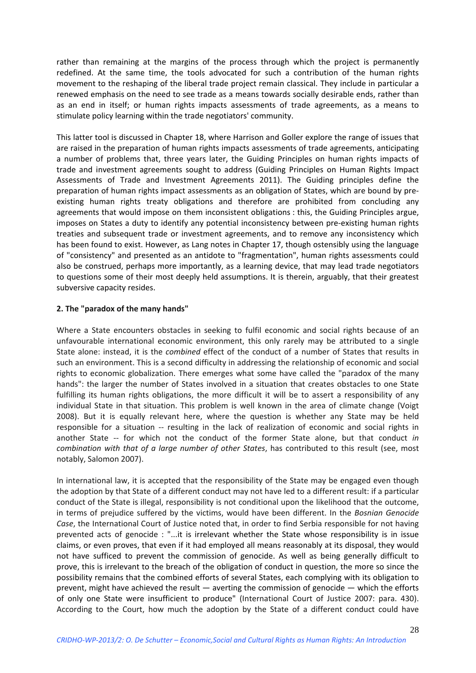rather than remaining at the margins of the process through which the project is permanently redefined. At the same time, the tools advocated for such a contribution of the human rights movement to the reshaping of the liberal trade project remain classical. They include in particular a renewed emphasis on the need to see trade as a means towards socially desirable ends, rather than as an end in itself; or human rights impacts assessments of trade agreements, as a means to stimulate policy learning within the trade negotiators' community.

This latter tool is discussed in Chapter 18, where Harrison and Goller explore the range of issues that are raised in the preparation of human rights impacts assessments of trade agreements, anticipating a number of problems that, three years later, the Guiding Principles on human rights impacts of trade and investment agreements sought to address (Guiding Principles on Human Rights Impact Assessments of Trade and Investment Agreements 2011). The Guiding principles define the preparation of human rights impact assessments as an obligation of States, which are bound by pre‐ existing human rights treaty obligations and therefore are prohibited from concluding any agreements that would impose on them inconsistent obligations : this, the Guiding Principles argue, imposes on States a duty to identify any potential inconsistency between pre-existing human rights treaties and subsequent trade or investment agreements, and to remove any inconsistency which has been found to exist. However, as Lang notes in Chapter 17, though ostensibly using the language of "consistency" and presented as an antidote to "fragmentation", human rights assessments could also be construed, perhaps more importantly, as a learning device, that may lead trade negotiators to questions some of their most deeply held assumptions. It is therein, arguably, that their greatest subversive capacity resides.

## **2. The "paradox of the many hands"**

Where a State encounters obstacles in seeking to fulfil economic and social rights because of an unfavourable international economic environment, this only rarely may be attributed to a single State alone: instead, it is the *combined* effect of the conduct of a number of States that results in such an environment. This is a second difficulty in addressing the relationship of economic and social rights to economic globalization. There emerges what some have called the "paradox of the many hands": the larger the number of States involved in a situation that creates obstacles to one State fulfilling its human rights obligations, the more difficult it will be to assert a responsibility of any individual State in that situation. This problem is well known in the area of climate change (Voigt 2008). But it is equally relevant here, where the question is whether any State may be held responsible for a situation -- resulting in the lack of realization of economic and social rights in another State ‐‐ for which not the conduct of the former State alone, but that conduct *in combination with that of a large number of other States*, has contributed to this result (see, most notably, Salomon 2007).

In international law, it is accepted that the responsibility of the State may be engaged even though the adoption by that State of a different conduct may not have led to a different result: if a particular conduct of the State is illegal, responsibility is not conditional upon the likelihood that the outcome, in terms of prejudice suffered by the victims, would have been different. In the *Bosnian Genocide Case*, the International Court of Justice noted that, in order to find Serbia responsible for not having prevented acts of genocide : "...it is irrelevant whether the State whose responsibility is in issue claims, or even proves, that even if it had employed all means reasonably at its disposal, they would not have sufficed to prevent the commission of genocide. As well as being generally difficult to prove, this is irrelevant to the breach of the obligation of conduct in question, the more so since the possibility remains that the combined efforts of several States, each complying with its obligation to prevent, might have achieved the result — averting the commission of genocide — which the efforts of only one State were insufficient to produce" (International Court of Justice 2007: para. 430). According to the Court, how much the adoption by the State of a different conduct could have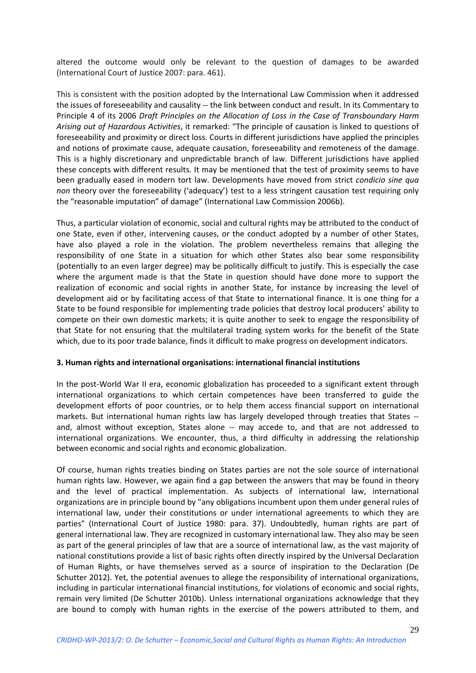altered the outcome would only be relevant to the question of damages to be awarded (International Court of Justice 2007: para. 461).

This is consistent with the position adopted by the International Law Commission when it addressed the issues of foreseeability and causality ‐‐ the link between conduct and result. In its Commentary to Principle 4 of its 2006 *Draft Principles on the Allocation of Loss in the Case of Transboundary Harm Arising out of Hazardous Activities*, it remarked: "The principle of causation is linked to questions of foreseeability and proximity or direct loss. Courts in different jurisdictions have applied the principles and notions of proximate cause, adequate causation, foreseeability and remoteness of the damage. This is a highly discretionary and unpredictable branch of law. Different jurisdictions have applied these concepts with different results. It may be mentioned that the test of proximity seems to have been gradually eased in modern tort law. Developments have moved from strict *condicio sine qua non* theory over the foreseeability ('adequacy') test to a less stringent causation test requiring only the "reasonable imputation" of damage" (International Law Commission 2006b).

Thus, a particular violation of economic, social and cultural rights may be attributed to the conduct of one State, even if other, intervening causes, or the conduct adopted by a number of other States, have also played a role in the violation. The problem nevertheless remains that alleging the responsibility of one State in a situation for which other States also bear some responsibility (potentially to an even larger degree) may be politically difficult to justify. This is especially the case where the argument made is that the State in question should have done more to support the realization of economic and social rights in another State, for instance by increasing the level of development aid or by facilitating access of that State to international finance. It is one thing for a State to be found responsible for implementing trade policies that destroy local producers' ability to compete on their own domestic markets; it is quite another to seek to engage the responsibility of that State for not ensuring that the multilateral trading system works for the benefit of the State which, due to its poor trade balance, finds it difficult to make progress on development indicators.

#### **3. Human rights and international organisations: international financial institutions**

In the post-World War II era, economic globalization has proceeded to a significant extent through international organizations to which certain competences have been transferred to guide the development efforts of poor countries, or to help them access financial support on international markets. But international human rights law has largely developed through treaties that States -and, almost without exception, States alone -- may accede to, and that are not addressed to international organizations. We encounter, thus, a third difficulty in addressing the relationship between economic and social rights and economic globalization.

Of course, human rights treaties binding on States parties are not the sole source of international human rights law. However, we again find a gap between the answers that may be found in theory and the level of practical implementation. As subjects of international law, international organizations are in principle bound by "any obligations incumbent upon them under general rules of international law, under their constitutions or under international agreements to which they are parties" (International Court of Justice 1980: para. 37). Undoubtedly, human rights are part of general international law. They are recognized in customary international law. They also may be seen as part of the general principles of law that are a source of international law, as the vast majority of national constitutions provide a list of basic rights often directly inspired by the Universal Declaration of Human Rights, or have themselves served as a source of inspiration to the Declaration (De Schutter 2012). Yet, the potential avenues to allege the responsibility of international organizations, including in particular international financial institutions, for violations of economic and social rights, remain very limited (De Schutter 2010b). Unless international organizations acknowledge that they are bound to comply with human rights in the exercise of the powers attributed to them, and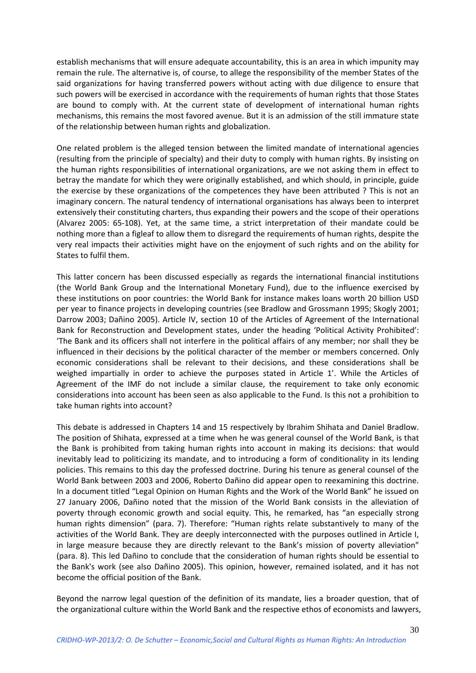establish mechanisms that will ensure adequate accountability, this is an area in which impunity may remain the rule. The alternative is, of course, to allege the responsibility of the member States of the said organizations for having transferred powers without acting with due diligence to ensure that such powers will be exercised in accordance with the requirements of human rights that those States are bound to comply with. At the current state of development of international human rights mechanisms, this remains the most favored avenue. But it is an admission of the still immature state of the relationship between human rights and globalization.

One related problem is the alleged tension between the limited mandate of international agencies (resulting from the principle of specialty) and their duty to comply with human rights. By insisting on the human rights responsibilities of international organizations, are we not asking them in effect to betray the mandate for which they were originally established, and which should, in principle, guide the exercise by these organizations of the competences they have been attributed ? This is not an imaginary concern. The natural tendency of international organisations has always been to interpret extensively their constituting charters, thus expanding their powers and the scope of their operations (Alvarez 2005: 65‐108). Yet, at the same time, a strict interpretation of their mandate could be nothing more than a figleaf to allow them to disregard the requirements of human rights, despite the very real impacts their activities might have on the enjoyment of such rights and on the ability for States to fulfil them.

This latter concern has been discussed especially as regards the international financial institutions (the World Bank Group and the International Monetary Fund), due to the influence exercised by these institutions on poor countries: the World Bank for instance makes loans worth 20 billion USD per year to finance projects in developing countries (see Bradlow and Grossmann 1995; Skogly 2001; Darrow 2003; Dañino 2005). Article IV, section 10 of the Articles of Agreement of the International Bank for Reconstruction and Development states, under the heading 'Political Activity Prohibited': 'The Bank and its officers shall not interfere in the political affairs of any member; nor shall they be influenced in their decisions by the political character of the member or members concerned. Only economic considerations shall be relevant to their decisions, and these considerations shall be weighed impartially in order to achieve the purposes stated in Article 1'. While the Articles of Agreement of the IMF do not include a similar clause, the requirement to take only economic considerations into account has been seen as also applicable to the Fund. Is this not a prohibition to take human rights into account?

This debate is addressed in Chapters 14 and 15 respectively by Ibrahim Shihata and Daniel Bradlow. The position of Shihata, expressed at a time when he was general counsel of the World Bank, is that the Bank is prohibited from taking human rights into account in making its decisions: that would inevitably lead to politicizing its mandate, and to introducing a form of conditionality in its lending policies. This remains to this day the professed doctrine. During his tenure as general counsel of the World Bank between 2003 and 2006, Roberto Dañino did appear open to reexamining this doctrine. In a document titled "Legal Opinion on Human Rights and the Work of the World Bank" he issued on 27 January 2006, Dañino noted that the mission of the World Bank consists in the alleviation of poverty through economic growth and social equity. This, he remarked, has "an especially strong human rights dimension" (para. 7). Therefore: "Human rights relate substantively to many of the activities of the World Bank. They are deeply interconnected with the purposes outlined in Article I, in large measure because they are directly relevant to the Bank's mission of poverty alleviation" (para. 8). This led Dañino to conclude that the consideration of human rights should be essential to the Bank's work (see also Dañino 2005). This opinion, however, remained isolated, and it has not become the official position of the Bank.

Beyond the narrow legal question of the definition of its mandate, lies a broader question, that of the organizational culture within the World Bank and the respective ethos of economists and lawyers,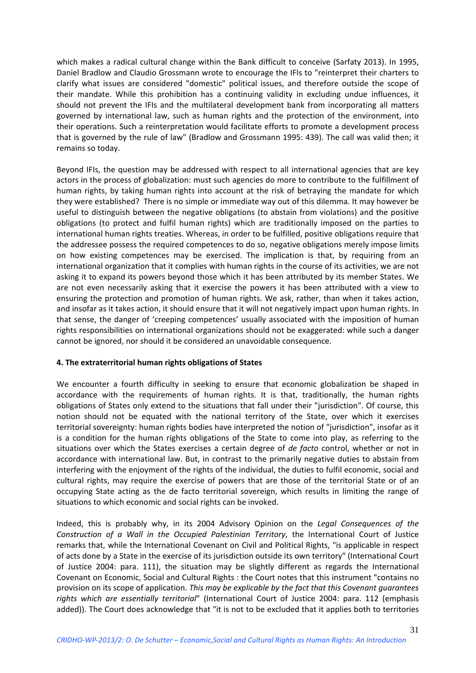which makes a radical cultural change within the Bank difficult to conceive (Sarfaty 2013). In 1995, Daniel Bradlow and Claudio Grossmann wrote to encourage the IFIs to "reinterpret their charters to clarify what issues are considered "domestic" political issues, and therefore outside the scope of their mandate. While this prohibition has a continuing validity in excluding undue influences, it should not prevent the IFIs and the multilateral development bank from incorporating all matters governed by international law, such as human rights and the protection of the environment, into their operations. Such a reinterpretation would facilitate efforts to promote a development process that is governed by the rule of law" (Bradlow and Grossmann 1995: 439). The call was valid then; it remains so today.

Beyond IFIs, the question may be addressed with respect to all international agencies that are key actors in the process of globalization: must such agencies do more to contribute to the fulfillment of human rights, by taking human rights into account at the risk of betraying the mandate for which they were established? There is no simple or immediate way out of this dilemma. It may however be useful to distinguish between the negative obligations (to abstain from violations) and the positive obligations (to protect and fulfil human rights) which are traditionally imposed on the parties to international human rights treaties. Whereas, in order to be fulfilled, positive obligations require that the addressee possess the required competences to do so, negative obligations merely impose limits on how existing competences may be exercised. The implication is that, by requiring from an international organization that it complies with human rights in the course of its activities, we are not asking it to expand its powers beyond those which it has been attributed by its member States. We are not even necessarily asking that it exercise the powers it has been attributed with a view to ensuring the protection and promotion of human rights. We ask, rather, than when it takes action, and insofar as it takes action, it should ensure that it will not negatively impact upon human rights. In that sense, the danger of 'creeping competences' usually associated with the imposition of human rights responsibilities on international organizations should not be exaggerated: while such a danger cannot be ignored, nor should it be considered an unavoidable consequence.

#### **4. The extraterritorial human rights obligations of States**

We encounter a fourth difficulty in seeking to ensure that economic globalization be shaped in accordance with the requirements of human rights. It is that, traditionally, the human rights obligations of States only extend to the situations that fall under their "jurisdiction". Of course, this notion should not be equated with the national territory of the State, over which it exercises territorial sovereignty: human rights bodies have interpreted the notion of "jurisdiction", insofar as it is a condition for the human rights obligations of the State to come into play, as referring to the situations over which the States exercises a certain degree of *de facto* control, whether or not in accordance with international law. But, in contrast to the primarily negative duties to abstain from interfering with the enjoyment of the rights of the individual, the duties to fulfil economic, social and cultural rights, may require the exercise of powers that are those of the territorial State or of an occupying State acting as the de facto territorial sovereign, which results in limiting the range of situations to which economic and social rights can be invoked.

Indeed, this is probably why, in its 2004 Advisory Opinion on the *Legal Consequences of the Construction of a Wall in the Occupied Palestinian Territory*, the International Court of Justice remarks that, while the International Covenant on Civil and Political Rights, "is applicable in respect of acts done by a State in the exercise of its jurisdiction outside its own territory" (International Court of Justice 2004: para. 111), the situation may be slightly different as regards the International Covenant on Economic, Social and Cultural Rights : the Court notes that this instrument "contains no provision on its scope of application. *This may be explicable by the fact that this Covenant guarantees rights which are essentially territorial*" (International Court of Justice 2004: para. 112 (emphasis added)). The Court does acknowledge that "it is not to be excluded that it applies both to territories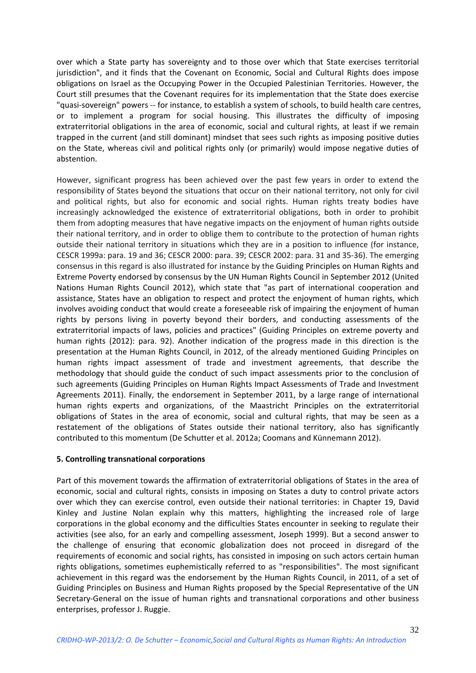over which a State party has sovereignty and to those over which that State exercises territorial jurisdiction", and it finds that the Covenant on Economic, Social and Cultural Rights does impose obligations on Israel as the Occupying Power in the Occupied Palestinian Territories. However, the Court still presumes that the Covenant requires for its implementation that the State does exercise "quasi‐sovereign" powers ‐‐ for instance, to establish a system of schools, to build health care centres, or to implement a program for social housing. This illustrates the difficulty of imposing extraterritorial obligations in the area of economic, social and cultural rights, at least if we remain trapped in the current (and still dominant) mindset that sees such rights as imposing positive duties on the State, whereas civil and political rights only (or primarily) would impose negative duties of abstention.

However, significant progress has been achieved over the past few years in order to extend the responsibility of States beyond the situations that occur on their national territory, not only for civil and political rights, but also for economic and social rights. Human rights treaty bodies have increasingly acknowledged the existence of extraterritorial obligations, both in order to prohibit them from adopting measures that have negative impacts on the enjoyment of human rights outside their national territory, and in order to oblige them to contribute to the protection of human rights outside their national territory in situations which they are in a position to influence (for instance, CESCR 1999a: para. 19 and 36; CESCR 2000: para. 39; CESCR 2002: para. 31 and 35‐36). The emerging consensus in this regard is also illustrated for instance by the Guiding Principles on Human Rights and Extreme Poverty endorsed by consensus by the UN Human Rights Council in September 2012 (United Nations Human Rights Council 2012), which state that "as part of international cooperation and assistance, States have an obligation to respect and protect the enjoyment of human rights, which involves avoiding conduct that would create a foreseeable risk of impairing the enjoyment of human rights by persons living in poverty beyond their borders, and conducting assessments of the extraterritorial impacts of laws, policies and practices" (Guiding Principles on extreme poverty and human rights (2012): para. 92). Another indication of the progress made in this direction is the presentation at the Human Rights Council, in 2012, of the already mentioned Guiding Principles on human rights impact assessment of trade and investment agreements, that describe the methodology that should guide the conduct of such impact assessments prior to the conclusion of such agreements (Guiding Principles on Human Rights Impact Assessments of Trade and Investment Agreements 2011). Finally, the endorsement in September 2011, by a large range of international human rights experts and organizations, of the Maastricht Principles on the extraterritorial obligations of States in the area of economic, social and cultural rights, that may be seen as a restatement of the obligations of States outside their national territory, also has significantly contributed to this momentum (De Schutter et al. 2012a; Coomans and Künnemann 2012).

#### **5. Controlling transnational corporations**

Part of this movement towards the affirmation of extraterritorial obligations of States in the area of economic, social and cultural rights, consists in imposing on States a duty to control private actors over which they can exercise control, even outside their national territories: in Chapter 19, David Kinley and Justine Nolan explain why this matters, highlighting the increased role of large corporations in the global economy and the difficulties States encounter in seeking to regulate their activities (see also, for an early and compelling assessment, Joseph 1999). But a second answer to the challenge of ensuring that economic globalization does not proceed in disregard of the requirements of economic and social rights, has consisted in imposing on such actors certain human rights obligations, sometimes euphemistically referred to as "responsibilities". The most significant achievement in this regard was the endorsement by the Human Rights Council, in 2011, of a set of Guiding Principles on Business and Human Rights proposed by the Special Representative of the UN Secretary‐General on the issue of human rights and transnational corporations and other business enterprises, professor J. Ruggie.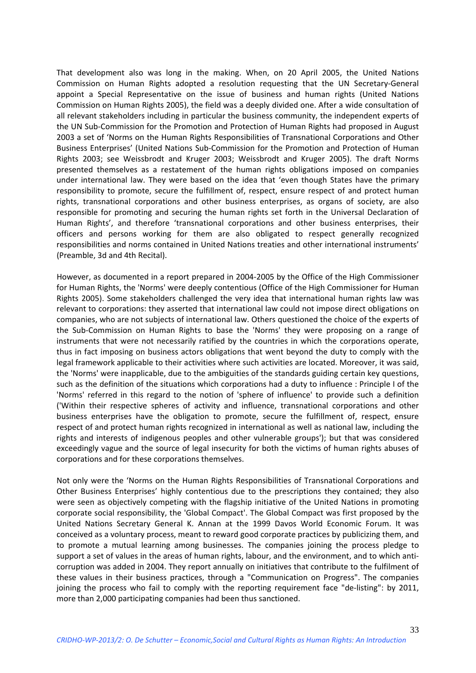That development also was long in the making. When, on 20 April 2005, the United Nations Commission on Human Rights adopted a resolution requesting that the UN Secretary‐General appoint a Special Representative on the issue of business and human rights (United Nations Commission on Human Rights 2005), the field was a deeply divided one. After a wide consultation of all relevant stakeholders including in particular the business community, the independent experts of the UN Sub‐Commission for the Promotion and Protection of Human Rights had proposed in August 2003 a set of 'Norms on the Human Rights Responsibilities of Transnational Corporations and Other Business Enterprises' (United Nations Sub‐Commission for the Promotion and Protection of Human Rights 2003; see Weissbrodt and Kruger 2003; Weissbrodt and Kruger 2005). The draft Norms presented themselves as a restatement of the human rights obligations imposed on companies under international law. They were based on the idea that 'even though States have the primary responsibility to promote, secure the fulfillment of, respect, ensure respect of and protect human rights, transnational corporations and other business enterprises, as organs of society, are also responsible for promoting and securing the human rights set forth in the Universal Declaration of Human Rights', and therefore 'transnational corporations and other business enterprises, their officers and persons working for them are also obligated to respect generally recognized responsibilities and norms contained in United Nations treaties and other international instruments' (Preamble, 3d and 4th Recital).

However, as documented in a report prepared in 2004‐2005 by the Office of the High Commissioner for Human Rights, the 'Norms' were deeply contentious (Office of the High Commissioner for Human Rights 2005). Some stakeholders challenged the very idea that international human rights law was relevant to corporations: they asserted that international law could not impose direct obligations on companies, who are not subjects of international law. Others questioned the choice of the experts of the Sub‐Commission on Human Rights to base the 'Norms' they were proposing on a range of instruments that were not necessarily ratified by the countries in which the corporations operate, thus in fact imposing on business actors obligations that went beyond the duty to comply with the legal framework applicable to their activities where such activities are located. Moreover, it was said, the 'Norms' were inapplicable, due to the ambiguities of the standards guiding certain key questions, such as the definition of the situations which corporations had a duty to influence : Principle I of the 'Norms' referred in this regard to the notion of 'sphere of influence' to provide such a definition ('Within their respective spheres of activity and influence, transnational corporations and other business enterprises have the obligation to promote, secure the fulfillment of, respect, ensure respect of and protect human rights recognized in international as well as national law, including the rights and interests of indigenous peoples and other vulnerable groups'); but that was considered exceedingly vague and the source of legal insecurity for both the victims of human rights abuses of corporations and for these corporations themselves.

Not only were the 'Norms on the Human Rights Responsibilities of Transnational Corporations and Other Business Enterprises' highly contentious due to the prescriptions they contained; they also were seen as objectively competing with the flagship initiative of the United Nations in promoting corporate social responsibility, the 'Global Compact'. The Global Compact was first proposed by the United Nations Secretary General K. Annan at the 1999 Davos World Economic Forum. It was conceived as a voluntary process, meant to reward good corporate practices by publicizing them, and to promote a mutual learning among businesses. The companies joining the process pledge to support a set of values in the areas of human rights, labour, and the environment, and to which anticorruption was added in 2004. They report annually on initiatives that contribute to the fulfilment of these values in their business practices, through a "Communication on Progress". The companies joining the process who fail to comply with the reporting requirement face "de‐listing": by 2011, more than 2,000 participating companies had been thus sanctioned.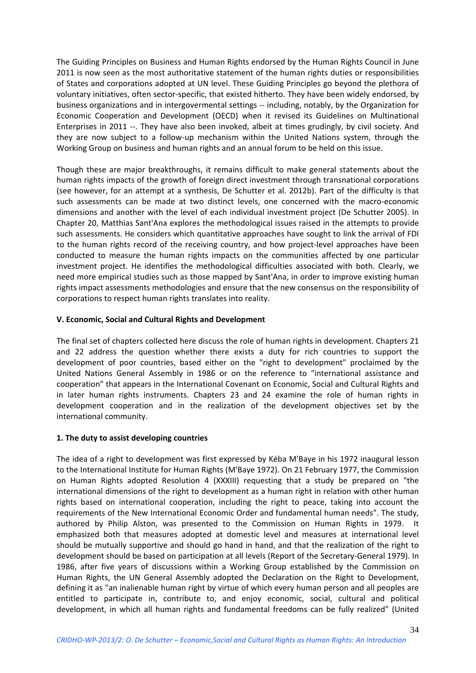The Guiding Principles on Business and Human Rights endorsed by the Human Rights Council in June 2011 is now seen as the most authoritative statement of the human rights duties or responsibilities of States and corporations adopted at UN level. These Guiding Principles go beyond the plethora of voluntary initiatives, often sector‐specific, that existed hitherto. They have been widely endorsed, by business organizations and in intergovermental settings ‐‐ including, notably, by the Organization for Economic Cooperation and Development (OECD) when it revised its Guidelines on Multinational Enterprises in 2011 --. They have also been invoked, albeit at times grudingly, by civil society. And they are now subject to a follow‐up mechanism within the United Nations system, through the Working Group on business and human rights and an annual forum to be held on this issue.

Though these are major breakthroughs, it remains difficult to make general statements about the human rights impacts of the growth of foreign direct investment through transnational corporations (see however, for an attempt at a synthesis, De Schutter et al. 2012b). Part of the difficulty is that such assessments can be made at two distinct levels, one concerned with the macro-economic dimensions and another with the level of each individual investment project (De Schutter 2005). In Chapter 20, Matthias Sant'Ana explores the methodological issues raised in the attempts to provide such assessments. He considers which quantitative approaches have sought to link the arrival of FDI to the human rights record of the receiving country, and how project-level approaches have been conducted to measure the human rights impacts on the communities affected by one particular investment project. He identifies the methodological difficulties associated with both. Clearly, we need more empirical studies such as those mapped by Sant'Ana, in order to improve existing human rights impact assessments methodologies and ensure that the new consensus on the responsibility of corporations to respect human rights translates into reality.

## **V. Economic, Social and Cultural Rights and Development**

The final set of chapters collected here discuss the role of human rights in development. Chapters 21 and 22 address the question whether there exists a duty for rich countries to support the development of poor countries, based either on the "right to development" proclaimed by the United Nations General Assembly in 1986 or on the reference to "international assistance and cooperation" that appears in the International Covenant on Economic, Social and Cultural Rights and in later human rights instruments. Chapters 23 and 24 examine the role of human rights in development cooperation and in the realization of the development objectives set by the international community.

#### **1. The duty to assist developing countries**

The idea of a right to development was first expressed by Kéba M'Baye in his 1972 inaugural lesson to the International Institute for Human Rights (M'Baye 1972). On 21 February 1977, the Commission on Human Rights adopted Resolution 4 (XXXIII) requesting that a study be prepared on "the international dimensions of the right to development as a human right in relation with other human rights based on international cooperation, including the right to peace, taking into account the requirements of the New International Economic Order and fundamental human needs". The study, authored by Philip Alston, was presented to the Commission on Human Rights in 1979. It emphasized both that measures adopted at domestic level and measures at international level should be mutually supportive and should go hand in hand, and that the realization of the right to development should be based on participation at all levels (Report of the Secretary‐General 1979). In 1986, after five years of discussions within a Working Group established by the Commission on Human Rights, the UN General Assembly adopted the Declaration on the Right to Development, defining it as "an inalienable human right by virtue of which every human person and all peoples are entitled to participate in, contribute to, and enjoy economic, social, cultural and political development, in which all human rights and fundamental freedoms can be fully realized" (United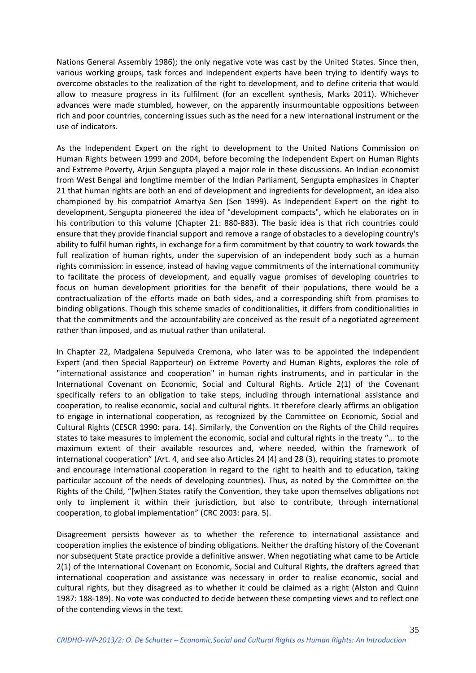Nations General Assembly 1986); the only negative vote was cast by the United States. Since then, various working groups, task forces and independent experts have been trying to identify ways to overcome obstacles to the realization of the right to development, and to define criteria that would allow to measure progress in its fulfilment (for an excellent synthesis, Marks 2011). Whichever advances were made stumbled, however, on the apparently insurmountable oppositions between rich and poor countries, concerning issues such as the need for a new international instrument or the use of indicators.

As the Independent Expert on the right to development to the United Nations Commission on Human Rights between 1999 and 2004, before becoming the Independent Expert on Human Rights and Extreme Poverty, Arjun Sengupta played a major role in these discussions. An Indian economist from West Bengal and longtime member of the Indian Parliament, Sengupta emphasizes in Chapter 21 that human rights are both an end of development and ingredients for development, an idea also championed by his compatriot Amartya Sen (Sen 1999). As Independent Expert on the right to development, Sengupta pioneered the idea of "development compacts", which he elaborates on in his contribution to this volume (Chapter 21: 880-883). The basic idea is that rich countries could ensure that they provide financial support and remove a range of obstacles to a developing country's ability to fulfil human rights, in exchange for a firm commitment by that country to work towards the full realization of human rights, under the supervision of an independent body such as a human rights commission: in essence, instead of having vague commitments of the international community to facilitate the process of development, and equally vague promises of developing countries to focus on human development priorities for the benefit of their populations, there would be a contractualization of the efforts made on both sides, and a corresponding shift from promises to binding obligations. Though this scheme smacks of conditionalities, it differs from conditionalities in that the commitments and the accountability are conceived as the result of a negotiated agreement rather than imposed, and as mutual rather than unilateral.

In Chapter 22, Madgalena Sepulveda Cremona, who later was to be appointed the Independent Expert (and then Special Rapporteur) on Extreme Poverty and Human Rights, explores the role of "international assistance and cooperation" in human rights instruments, and in particular in the International Covenant on Economic, Social and Cultural Rights. Article 2(1) of the Covenant specifically refers to an obligation to take steps, including through international assistance and cooperation, to realise economic, social and cultural rights. It therefore clearly affirms an obligation to engage in international cooperation, as recognized by the Committee on Economic, Social and Cultural Rights (CESCR 1990: para. 14). Similarly, the Convention on the Rights of the Child requires states to take measures to implement the economic, social and cultural rights in the treaty "... to the maximum extent of their available resources and, where needed, within the framework of international cooperation" (Art. 4, and see also Articles 24 (4) and 28 (3), requiring states to promote and encourage international cooperation in regard to the right to health and to education, taking particular account of the needs of developing countries). Thus, as noted by the Committee on the Rights of the Child, "[w]hen States ratify the Convention, they take upon themselves obligations not only to implement it within their jurisdiction, but also to contribute, through international cooperation, to global implementation" (CRC 2003: para. 5).

Disagreement persists however as to whether the reference to international assistance and cooperation implies the existence of binding obligations. Neither the drafting history of the Covenant nor subsequent State practice provide a definitive answer. When negotiating what came to be Article 2(1) of the International Covenant on Economic, Social and Cultural Rights, the drafters agreed that international cooperation and assistance was necessary in order to realise economic, social and cultural rights, but they disagreed as to whether it could be claimed as a right (Alston and Quinn 1987: 188‐189). No vote was conducted to decide between these competing views and to reflect one of the contending views in the text.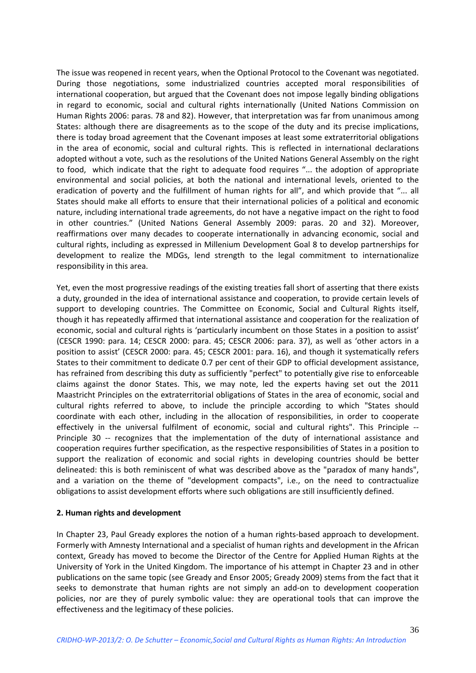The issue was reopened in recent years, when the Optional Protocol to the Covenant was negotiated. During those negotiations, some industrialized countries accepted moral responsibilities of international cooperation, but argued that the Covenant does not impose legally binding obligations in regard to economic, social and cultural rights internationally (United Nations Commission on Human Rights 2006: paras. 78 and 82). However, that interpretation was far from unanimous among States: although there are disagreements as to the scope of the duty and its precise implications, there is today broad agreement that the Covenant imposes at least some extraterritorial obligations in the area of economic, social and cultural rights. This is reflected in international declarations adopted without a vote, such as the resolutions of the United Nations General Assembly on the right to food, which indicate that the right to adequate food requires "... the adoption of appropriate environmental and social policies, at both the national and international levels, oriented to the eradication of poverty and the fulfillment of human rights for all", and which provide that "... all States should make all efforts to ensure that their international policies of a political and economic nature, including international trade agreements, do not have a negative impact on the right to food in other countries." (United Nations General Assembly 2009: paras. 20 and 32). Moreover, reaffirmations over many decades to cooperate internationally in advancing economic, social and cultural rights, including as expressed in Millenium Development Goal 8 to develop partnerships for development to realize the MDGs, lend strength to the legal commitment to internationalize responsibility in this area.

Yet, even the most progressive readings of the existing treaties fall short of asserting that there exists a duty, grounded in the idea of international assistance and cooperation, to provide certain levels of support to developing countries. The Committee on Economic, Social and Cultural Rights itself, though it has repeatedly affirmed that international assistance and cooperation for the realization of economic, social and cultural rights is 'particularly incumbent on those States in a position to assist' (CESCR 1990: para. 14; CESCR 2000: para. 45; CESCR 2006: para. 37), as well as 'other actors in a position to assist' (CESCR 2000: para. 45; CESCR 2001: para. 16), and though it systematically refers States to their commitment to dedicate 0.7 per cent of their GDP to official development assistance, has refrained from describing this duty as sufficiently "perfect" to potentially give rise to enforceable claims against the donor States. This, we may note, led the experts having set out the 2011 Maastricht Principles on the extraterritorial obligations of States in the area of economic, social and cultural rights referred to above, to include the principle according to which "States should coordinate with each other, including in the allocation of responsibilities, in order to cooperate effectively in the universal fulfilment of economic, social and cultural rights". This Principle ‐‐ Principle 30 -- recognizes that the implementation of the duty of international assistance and cooperation requires further specification, as the respective responsibilities of States in a position to support the realization of economic and social rights in developing countries should be better delineated: this is both reminiscent of what was described above as the "paradox of many hands", and a variation on the theme of "development compacts", i.e., on the need to contractualize obligations to assist development efforts where such obligations are still insufficiently defined.

#### **2. Human rights and development**

In Chapter 23, Paul Gready explores the notion of a human rights-based approach to development. Formerly with Amnesty International and a specialist of human rights and development in the African context, Gready has moved to become the Director of the Centre for Applied Human Rights at the University of York in the United Kingdom. The importance of his attempt in Chapter 23 and in other publications on the same topic (see Gready and Ensor 2005; Gready 2009) stems from the fact that it seeks to demonstrate that human rights are not simply an add-on to development cooperation policies, nor are they of purely symbolic value: they are operational tools that can improve the effectiveness and the legitimacy of these policies.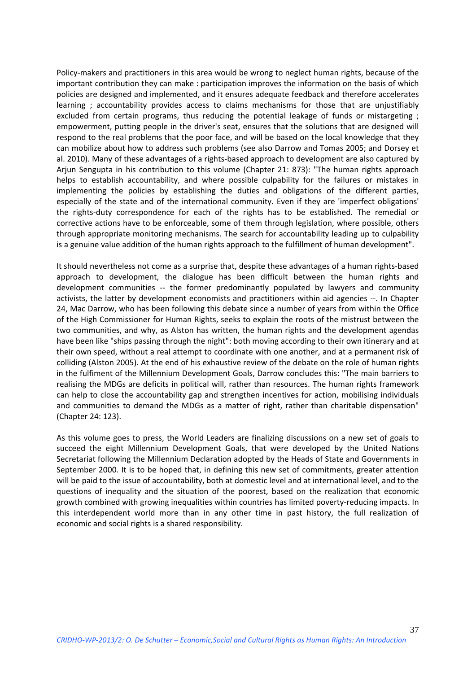Policy‐makers and practitioners in this area would be wrong to neglect human rights, because of the important contribution they can make : participation improves the information on the basis of which policies are designed and implemented, and it ensures adequate feedback and therefore accelerates learning ; accountability provides access to claims mechanisms for those that are unjustifiably excluded from certain programs, thus reducing the potential leakage of funds or mistargeting ; empowerment, putting people in the driver's seat, ensures that the solutions that are designed will respond to the real problems that the poor face, and will be based on the local knowledge that they can mobilize about how to address such problems (see also Darrow and Tomas 2005; and Dorsey et al. 2010). Many of these advantages of a rights‐based approach to development are also captured by Arjun Sengupta in his contribution to this volume (Chapter 21: 873): "The human rights approach helps to establish accountability, and where possible culpability for the failures or mistakes in implementing the policies by establishing the duties and obligations of the different parties, especially of the state and of the international community. Even if they are 'imperfect obligations' the rights‐duty correspondence for each of the rights has to be established. The remedial or corrective actions have to be enforceable, some of them through legislation, where possible, others through appropriate monitoring mechanisms. The search for accountability leading up to culpability is a genuine value addition of the human rights approach to the fulfillment of human development".

It should nevertheless not come as a surprise that, despite these advantages of a human rights‐based approach to development, the dialogue has been difficult between the human rights and development communities -- the former predominantly populated by lawyers and community activists, the latter by development economists and practitioners within aid agencies ‐‐. In Chapter 24, Mac Darrow, who has been following this debate since a number of years from within the Office of the High Commissioner for Human Rights, seeks to explain the roots of the mistrust between the two communities, and why, as Alston has written, the human rights and the development agendas have been like "ships passing through the night": both moving according to their own itinerary and at their own speed, without a real attempt to coordinate with one another, and at a permanent risk of colliding (Alston 2005). At the end of his exhaustive review of the debate on the role of human rights in the fulfiment of the Millennium Development Goals, Darrow concludes this: "The main barriers to realising the MDGs are deficits in political will, rather than resources. The human rights framework can help to close the accountability gap and strengthen incentives for action, mobilising individuals and communities to demand the MDGs as a matter of right, rather than charitable dispensation" (Chapter 24: 123).

As this volume goes to press, the World Leaders are finalizing discussions on a new set of goals to succeed the eight Millennium Development Goals, that were developed by the United Nations Secretariat following the Millennium Declaration adopted by the Heads of State and Governments in September 2000. It is to be hoped that, in defining this new set of commitments, greater attention will be paid to the issue of accountability, both at domestic level and at international level, and to the questions of inequality and the situation of the poorest, based on the realization that economic growth combined with growing inequalities within countries has limited poverty-reducing impacts. In this interdependent world more than in any other time in past history, the full realization of economic and social rights is a shared responsibility.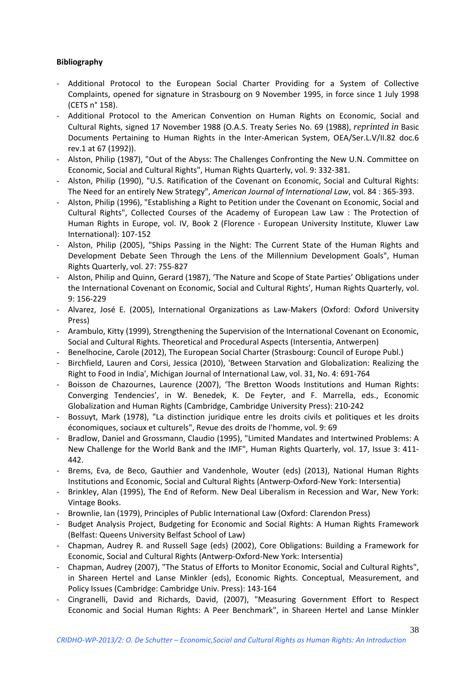# **Bibliography**

- ‐ Additional Protocol to the European Social Charter Providing for a System of Collective Complaints, opened for signature in Strasbourg on 9 November 1995, in force since 1 July 1998 (CETS n° 158).
- ‐ Additional Protocol to the American Convention on Human Rights on Economic, Social and Cultural Rights, signed 17 November 1988 (O.A.S. Treaty Series No. 69 (1988), *reprinted in* Basic Documents Pertaining to Human Rights in the Inter‐American System, OEA/Ser.L.V/II.82 doc.6 rev.1 at 67 (1992)).
- ‐ Alston, Philip (1987), "Out of the Abyss: The Challenges Confronting the New U.N. Committee on Economic, Social and Cultural Rights", Human Rights Quarterly, vol. 9: 332‐381.
- ‐ Alston, Philip (1990), "U.S. Ratification of the Covenant on Economic, Social and Cultural Rights: The Need for an entirely New Strategy", *American Journal of International Law*, vol. 84 : 365‐393.
- ‐ Alston, Philip (1996), "Establishing a Right to Petition under the Covenant on Economic, Social and Cultural Rights", Collected Courses of the Academy of European Law Law : The Protection of Human Rights in Europe, vol. IV, Book 2 (Florence ‐ European University Institute, Kluwer Law International): 107‐152
- ‐ Alston, Philip (2005), "Ships Passing in the Night: The Current State of the Human Rights and Development Debate Seen Through the Lens of the Millennium Development Goals", Human Rights Quarterly, vol. 27: 755‐827
- ‐ Alston, Philip and Quinn, Gerard (1987), 'The Nature and Scope of State Parties' Obligations under the International Covenant on Economic, Social and Cultural Rights', Human Rights Quarterly, vol. 9: 156‐229
- ‐ Alvarez, José E. (2005), International Organizations as Law‐Makers (Oxford: Oxford University Press)
- ‐ Arambulo, Kitty (1999), Strengthening the Supervision of the International Covenant on Economic, Social and Cultural Rights. Theoretical and Procedural Aspects (Intersentia, Antwerpen)
- ‐ Benelhocine, Carole (2012), The European Social Charter (Strasbourg: Council of Europe Publ.)
- ‐ Birchfield, Lauren and Corsi, Jessica (2010), 'Between Starvation and Globalization: Realizing the Right to Food in India', Michigan Journal of International Law, vol. 31, No. 4: 691‐764
- ‐ Boisson de Chazournes, Laurence (2007), 'The Bretton Woods Institutions and Human Rights: Converging Tendencies', in W. Benedek, K. De Feyter, and F. Marrella, eds., Economic Globalization and Human Rights (Cambridge, Cambridge University Press): 210‐242
- ‐ Bossuyt, Mark (1978), "La distinction juridique entre les droits civils et politiques et les droits économiques, sociaux et culturels", Revue des droits de l'homme, vol. 9: 69
- ‐ Bradlow, Daniel and Grossmann, Claudio (1995), "Limited Mandates and Intertwined Problems: A New Challenge for the World Bank and the IMF", Human Rights Quarterly, vol. 17, Issue 3: 411‐ 442.
- ‐ Brems, Eva, de Beco, Gauthier and Vandenhole, Wouter (eds) (2013), National Human Rights Institutions and Economic, Social and Cultural Rights (Antwerp‐Oxford‐New York: Intersentia)
- ‐ Brinkley, Alan (1995), The End of Reform. New Deal Liberalism in Recession and War, New York: Vintage Books.
- ‐ Brownlie, Ian (1979), Principles of Public International Law (Oxford: Clarendon Press)
- ‐ Budget Analysis Project, Budgeting for Economic and Social Rights: A Human Rights Framework (Belfast: Queens University Belfast School of Law)
- ‐ Chapman, Audrey R. and Russell Sage (eds) (2002), Core Obligations: Building a Framework for Economic, Social and Cultural Rights (Antwerp‐Oxford‐New York: Intersentia)
- ‐ Chapman, Audrey (2007), "The Status of Efforts to Monitor Economic, Social and Cultural Rights", in Shareen Hertel and Lanse Minkler (eds), Economic Rights. Conceptual, Measurement, and Policy Issues (Cambridge: Cambridge Univ. Press): 143‐164
- ‐ Cingranelli, David and Richards, David, (2007), "Measuring Government Effort to Respect Economic and Social Human Rights: A Peer Benchmark", in Shareen Hertel and Lanse Minkler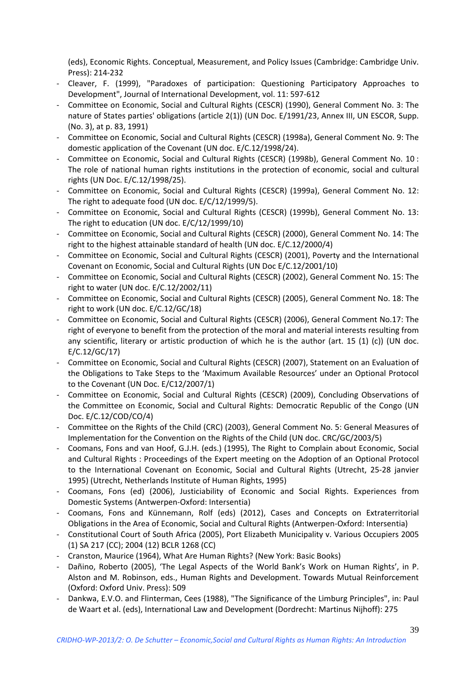(eds), Economic Rights. Conceptual, Measurement, and Policy Issues (Cambridge: Cambridge Univ. Press): 214‐232

- ‐ Cleaver, F. (1999), "Paradoxes of participation: Questioning Participatory Approaches to Development", Journal of International Development, vol. 11: 597‐612
- ‐ Committee on Economic, Social and Cultural Rights (CESCR) (1990), General Comment No. 3: The nature of States parties' obligations (article 2(1)) (UN Doc. E/1991/23, Annex III, UN ESCOR, Supp. (No. 3), at p. 83, 1991)
- ‐ Committee on Economic, Social and Cultural Rights (CESCR) (1998a), General Comment No. 9: The domestic application of the Covenant (UN doc. E/C.12/1998/24).
- ‐ Committee on Economic, Social and Cultural Rights (CESCR) (1998b), General Comment No. 10 : The role of national human rights institutions in the protection of economic, social and cultural rights (UN Doc. E/C.12/1998/25).
- ‐ Committee on Economic, Social and Cultural Rights (CESCR) (1999a), General Comment No. 12: The right to adequate food (UN doc. E/C/12/1999/5).
- ‐ Committee on Economic, Social and Cultural Rights (CESCR) (1999b), General Comment No. 13: The right to education (UN doc. E/C/12/1999/10)
- ‐ Committee on Economic, Social and Cultural Rights (CESCR) (2000), General Comment No. 14: The right to the highest attainable standard of health (UN doc. E/C.12/2000/4)
- ‐ Committee on Economic, Social and Cultural Rights (CESCR) (2001), Poverty and the International Covenant on Economic, Social and Cultural Rights (UN Doc E/C.12/2001/10)
- ‐ Committee on Economic, Social and Cultural Rights (CESCR) (2002), General Comment No. 15: The right to water (UN doc. E/C.12/2002/11)
- ‐ Committee on Economic, Social and Cultural Rights (CESCR) (2005), General Comment No. 18: The right to work (UN doc. E/C.12/GC/18)
- ‐ Committee on Economic, Social and Cultural Rights (CESCR) (2006), General Comment No.17: The right of everyone to benefit from the protection of the moral and material interests resulting from any scientific, literary or artistic production of which he is the author (art. 15 (1) (c)) (UN doc. E/C.12/GC/17)
- ‐ Committee on Economic, Social and Cultural Rights (CESCR) (2007), Statement on an Evaluation of the Obligations to Take Steps to the 'Maximum Available Resources' under an Optional Protocol to the Covenant (UN Doc. E/C12/2007/1)
- ‐ Committee on Economic, Social and Cultural Rights (CESCR) (2009), Concluding Observations of the Committee on Economic, Social and Cultural Rights: Democratic Republic of the Congo (UN Doc. E/C.12/COD/CO/4)
- ‐ Committee on the Rights of the Child (CRC) (2003), General Comment No. 5: General Measures of Implementation for the Convention on the Rights of the Child (UN doc. CRC/GC/2003/5)
- ‐ Coomans, Fons and van Hoof, G.J.H. (eds.) (1995), The Right to Complain about Economic, Social and Cultural Rights : Proceedings of the Expert meeting on the Adoption of an Optional Protocol to the International Covenant on Economic, Social and Cultural Rights (Utrecht, 25‐28 janvier 1995) (Utrecht, Netherlands Institute of Human Rights, 1995)
- ‐ Coomans, Fons (ed) (2006), Justiciability of Economic and Social Rights. Experiences from Domestic Systems (Antwerpen‐Oxford: Intersentia)
- ‐ Coomans, Fons and Künnemann, Rolf (eds) (2012), Cases and Concepts on Extraterritorial Obligations in the Area of Economic, Social and Cultural Rights (Antwerpen‐Oxford: Intersentia)
- ‐ Constitutional Court of South Africa (2005), Port Elizabeth Municipality v. Various Occupiers 2005 (1) SA 217 (CC); 2004 (12) BCLR 1268 (CC)
- ‐ Cranston, Maurice (1964), What Are Human Rights? (New York: Basic Books)
- Dañino, Roberto (2005), 'The Legal Aspects of the World Bank's Work on Human Rights', in P. Alston and M. Robinson, eds., Human Rights and Development. Towards Mutual Reinforcement (Oxford: Oxford Univ. Press): 509
- ‐ Dankwa, E.V.O. and Flinterman, Cees (1988), "The Significance of the Limburg Principles", in: Paul de Waart et al. (eds), International Law and Development (Dordrecht: Martinus Nijhoff): 275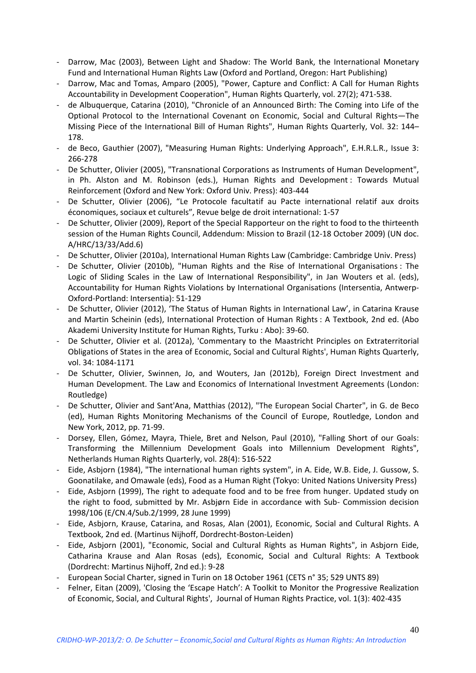- Darrow, Mac (2003), Between Light and Shadow: The World Bank, the International Monetary Fund and International Human Rights Law (Oxford and Portland, Oregon: Hart Publishing)
- ‐ Darrow, Mac and Tomas, Amparo (2005), "Power, Capture and Conflict: A Call for Human Rights Accountability in Development Cooperation", Human Rights Quarterly, vol. 27(2); 471‐538.
- ‐ de Albuquerque, Catarina (2010), "Chronicle of an Announced Birth: The Coming into Life of the Optional Protocol to the International Covenant on Economic, Social and Cultural Rights—The Missing Piece of the International Bill of Human Rights", Human Rights Quarterly, Vol. 32: 144– 178.
- ‐ de Beco, Gauthier (2007), "Measuring Human Rights: Underlying Approach", E.H.R.L.R., Issue 3: 266‐278
- ‐ De Schutter, Olivier (2005), "Transnational Corporations as Instruments of Human Development", in Ph. Alston and M. Robinson (eds.), Human Rights and Development : Towards Mutual Reinforcement (Oxford and New York: Oxford Univ. Press): 403‐444
- De Schutter, Olivier (2006), "Le Protocole facultatif au Pacte international relatif aux droits économiques, sociaux et culturels", Revue belge de droit international: 1‐57
- De Schutter, Olivier (2009), Report of the Special Rapporteur on the right to food to the thirteenth session of the Human Rights Council, Addendum: Mission to Brazil (12‐18 October 2009) (UN doc. A/HRC/13/33/Add.6)
- ‐ De Schutter, Olivier (2010a), International Human Rights Law (Cambridge: Cambridge Univ. Press)
- ‐ De Schutter, Olivier (2010b), "Human Rights and the Rise of International Organisations : The Logic of Sliding Scales in the Law of International Responsibility", in Jan Wouters et al. (eds), Accountability for Human Rights Violations by International Organisations (Intersentia, Antwerp‐ Oxford‐Portland: Intersentia): 51‐129
- ‐ De Schutter, Olivier (2012), 'The Status of Human Rights in International Law', in Catarina Krause and Martin Scheinin (eds), International Protection of Human Rights : A Textbook, 2nd ed. (Abo Akademi University Institute for Human Rights, Turku : Abo): 39‐60.
- De Schutter, Olivier et al. (2012a), 'Commentary to the Maastricht Principles on Extraterritorial Obligations of States in the area of Economic, Social and Cultural Rights', Human Rights Quarterly, vol. 34: 1084‐1171
- ‐ De Schutter, Olivier, Swinnen, Jo, and Wouters, Jan (2012b), Foreign Direct Investment and Human Development. The Law and Economics of International Investment Agreements (London: Routledge)
- ‐ De Schutter, Olivier and Sant'Ana, Matthias (2012), "The European Social Charter", in G. de Beco (ed), Human Rights Monitoring Mechanisms of the Council of Europe, Routledge, London and New York, 2012, pp. 71‐99.
- ‐ Dorsey, Ellen, Gómez, Mayra, Thiele, Bret and Nelson, Paul (2010), "Falling Short of our Goals: Transforming the Millennium Development Goals into Millennium Development Rights", Netherlands Human Rights Quarterly, vol. 28(4): 516‐522
- ‐ Eide, Asbjorn (1984), "The international human rights system", in A. Eide, W.B. Eide, J. Gussow, S. Goonatilake, and Omawale (eds), Food as a Human Right (Tokyo: United Nations University Press)
- ‐ Eide, Asbjorn (1999), The right to adequate food and to be free from hunger. Updated study on the right to food, submitted by Mr. Asbjørn Eide in accordance with Sub- Commission decision 1998/106 (E/CN.4/Sub.2/1999, 28 June 1999)
- ‐ Eide, Asbjorn, Krause, Catarina, and Rosas, Alan (2001), Economic, Social and Cultural Rights. A Textbook, 2nd ed. (Martinus Nijhoff, Dordrecht‐Boston‐Leiden)
- ‐ Eide, Asbjorn (2001), "Economic, Social and Cultural Rights as Human Rights", in Asbjorn Eide, Catharina Krause and Alan Rosas (eds), Economic, Social and Cultural Rights: A Textbook (Dordrecht: Martinus Nijhoff, 2nd ed.): 9‐28
- ‐ European Social Charter, signed in Turin on 18 October 1961 (CETS n° 35; 529 UNTS 89)
- Felner, Eitan (2009), 'Closing the 'Escape Hatch': A Toolkit to Monitor the Progressive Realization of Economic, Social, and Cultural Rights', Journal of Human Rights Practice, vol. 1(3): 402‐435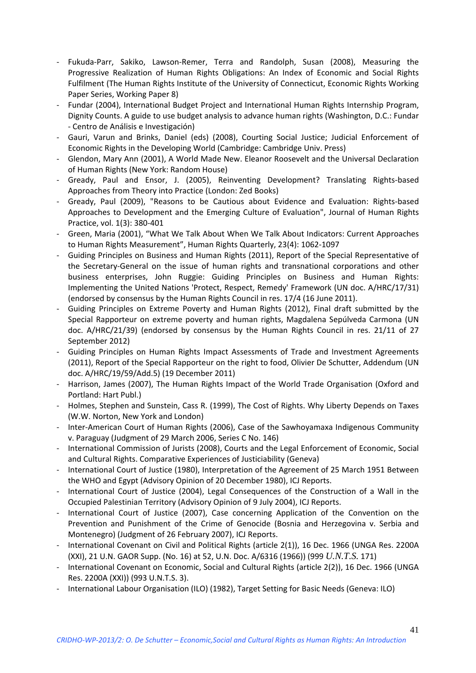- ‐ Fukuda‐Parr, Sakiko, Lawson‐Remer, Terra and Randolph, Susan (2008), Measuring the Progressive Realization of Human Rights Obligations: An Index of Economic and Social Rights Fulfilment (The Human Rights Institute of the University of Connecticut, Economic Rights Working Paper Series, Working Paper 8)
- ‐ Fundar (2004), International Budget Project and International Human Rights Internship Program, Dignity Counts. A guide to use budget analysis to advance human rights (Washington, D.C.: Fundar ‐ Centro de Análisis e Investigación)
- ‐ Gauri, Varun and Brinks, Daniel (eds) (2008), Courting Social Justice; Judicial Enforcement of Economic Rights in the Developing World (Cambridge: Cambridge Univ. Press)
- ‐ Glendon, Mary Ann (2001), A World Made New. Eleanor Roosevelt and the Universal Declaration of Human Rights (New York: Random House)
- ‐ Gready, Paul and Ensor, J. (2005), Reinventing Development? Translating Rights‐based Approaches from Theory into Practice (London: Zed Books)
- ‐ Gready, Paul (2009), "Reasons to be Cautious about Evidence and Evaluation: Rights‐based Approaches to Development and the Emerging Culture of Evaluation", Journal of Human Rights Practice, vol. 1(3): 380‐401
- ‐ Green, Maria (2001), "What We Talk About When We Talk About Indicators: Current Approaches to Human Rights Measurement", Human Rights Quarterly, 23(4): 1062‐1097
- ‐ Guiding Principles on Business and Human Rights (2011), Report of the Special Representative of the Secretary‐General on the issue of human rights and transnational corporations and other business enterprises, John Ruggie: Guiding Principles on Business and Human Rights: Implementing the United Nations 'Protect, Respect, Remedy' Framework (UN doc. A/HRC/17/31) (endorsed by consensus by the Human Rights Council in res. 17/4 (16 June 2011).
- ‐ Guiding Principles on Extreme Poverty and Human Rights (2012), Final draft submitted by the Special Rapporteur on extreme poverty and human rights, Magdalena Sepúlveda Carmona (UN doc. A/HRC/21/39) (endorsed by consensus by the Human Rights Council in res. 21/11 of 27 September 2012)
- ‐ Guiding Principles on Human Rights Impact Assessments of Trade and Investment Agreements (2011), Report of the Special Rapporteur on the right to food, Olivier De Schutter, Addendum (UN doc. A/HRC/19/59/Add.5) (19 December 2011)
- ‐ Harrison, James (2007), The Human Rights Impact of the World Trade Organisation (Oxford and Portland: Hart Publ.)
- ‐ Holmes, Stephen and Sunstein, Cass R. (1999), The Cost of Rights. Why Liberty Depends on Taxes (W.W. Norton, New York and London)
- ‐ Inter‐American Court of Human Rights (2006), Case of the Sawhoyamaxa Indigenous Community v. Paraguay (Judgment of 29 March 2006, Series C No. 146)
- ‐ International Commission of Jurists (2008), Courts and the Legal Enforcement of Economic, Social and Cultural Rights. Comparative Experiences of Justiciability (Geneva)
- ‐ International Court of Justice (1980), Interpretation of the Agreement of 25 March 1951 Between the WHO and Egypt (Advisory Opinion of 20 December 1980), ICJ Reports.
- ‐ International Court of Justice (2004), Legal Consequences of the Construction of a Wall in the Occupied Palestinian Territory (Advisory Opinion of 9 July 2004), ICJ Reports.
- ‐ International Court of Justice (2007), Case concerning Application of the Convention on the Prevention and Punishment of the Crime of Genocide (Bosnia and Herzegovina v. Serbia and Montenegro) (Judgment of 26 February 2007), ICJ Reports.
- ‐ International Covenant on Civil and Political Rights (article 2(1)), 16 Dec. 1966 (UNGA Res. 2200A (XXI), 21 U.N. GAOR Supp. (No. 16) at 52, U.N. Doc. A/6316 (1966)) (999 *U.N.T.S.* 171)
- ‐ International Covenant on Economic, Social and Cultural Rights (article 2(2)), 16 Dec. 1966 (UNGA Res. 2200A (XXI)) (993 U.N.T.S. 3).
- ‐ International Labour Organisation (ILO) (1982), Target Setting for Basic Needs (Geneva: ILO)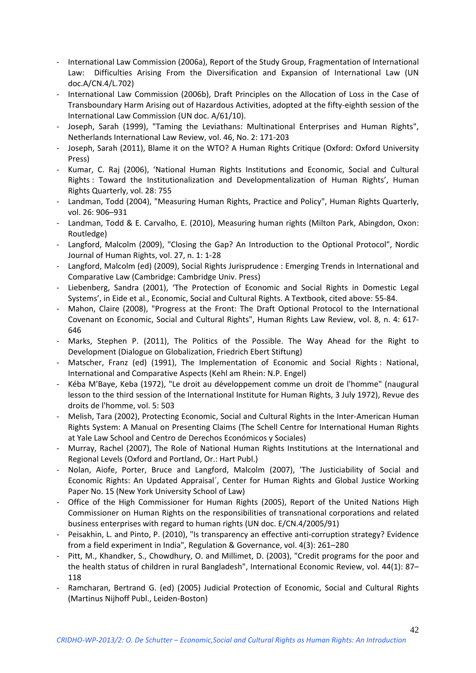- ‐ International Law Commission (2006a), Report of the Study Group, Fragmentation of International Law: Difficulties Arising From the Diversification and Expansion of International Law (UN doc.A/CN.4/L.702)
- ‐ International Law Commission (2006b), Draft Principles on the Allocation of Loss in the Case of Transboundary Harm Arising out of Hazardous Activities, adopted at the fifty‐eighth session of the International Law Commission (UN doc. A/61/10).
- ‐ Joseph, Sarah (1999), "Taming the Leviathans: Multinational Enterprises and Human Rights", Netherlands International Law Review, vol. 46, No. 2: 171‐203
- ‐ Joseph, Sarah (2011), Blame it on the WTO? A Human Rights Critique (Oxford: Oxford University Press)
- ‐ Kumar, C. Raj (2006), 'National Human Rights Institutions and Economic, Social and Cultural Rights : Toward the Institutionalization and Developmentalization of Human Rights', Human Rights Quarterly, vol. 28: 755
- ‐ Landman, Todd (2004), "Measuring Human Rights, Practice and Policy", Human Rights Quarterly, vol. 26: 906–931
- Landman, Todd & E. Carvalho, E. (2010), Measuring human rights (Milton Park, Abingdon, Oxon: Routledge)
- ‐ Langford, Malcolm (2009), "Closing the Gap? An Introduction to the Optional Protocol", Nordic Journal of Human Rights, vol. 27, n. 1: 1‐28
- ‐ Langford, Malcolm (ed) (2009), Social Rights Jurisprudence : Emerging Trends in International and Comparative Law (Cambridge: Cambridge Univ. Press)
- ‐ Liebenberg, Sandra (2001), 'The Protection of Economic and Social Rights in Domestic Legal Systems', in Eide et al., Economic, Social and Cultural Rights. A Textbook, cited above: 55‐84.
- ‐ Mahon, Claire (2008), "Progress at the Front: The Draft Optional Protocol to the International Covenant on Economic, Social and Cultural Rights", Human Rights Law Review, vol. 8, n. 4: 617‐ 646
- ‐ Marks, Stephen P. (2011), The Politics of the Possible. The Way Ahead for the Right to Development (Dialogue on Globalization, Friedrich Ebert Stiftung)
- ‐ Matscher, Franz (ed) (1991), The Implementation of Economic and Social Rights : National, International and Comparative Aspects (Kehl am Rhein: N.P. Engel)
- ‐ Kéba M'Baye, Keba (1972), "Le droit au développement comme un droit de l'homme" (naugural lesson to the third session of the International Institute for Human Rights, 3 July 1972), Revue des droits de l'homme, vol. 5: 503
- ‐ Melish, Tara (2002), Protecting Economic, Social and Cultural Rights in the Inter‐American Human Rights System: A Manual on Presenting Claims (The Schell Centre for International Human Rights at Yale Law School and Centro de Derechos Económicos y Sociales)
- ‐ Murray, Rachel (2007), The Role of National Human Rights Institutions at the International and Regional Levels (Oxford and Portland, Or.: Hart Publ.)
- ‐ Nolan, Aiofe, Porter, Bruce and Langford, Malcolm (2007), 'The Justiciability of Social and Economic Rights: An Updated Appraisal´, Center for Human Rights and Global Justice Working Paper No. 15 (New York University School of Law)
- ‐ Office of the High Commissioner for Human Rights (2005), Report of the United Nations High Commissioner on Human Rights on the responsibilities of transnational corporations and related business enterprises with regard to human rights (UN doc. E/CN.4/2005/91)
- ‐ Peisakhin, L. and Pinto, P. (2010), "Is transparency an effective anti‐corruption strategy? Evidence from a field experiment in India", Regulation & Governance, vol. 4(3): 261–280
- ‐ Pitt, M., Khandker, S., Chowdhury, O. and Millimet, D. (2003), "Credit programs for the poor and the health status of children in rural Bangladesh", International Economic Review, vol. 44(1): 87– 118
- ‐ Ramcharan, Bertrand G. (ed) (2005) Judicial Protection of Economic, Social and Cultural Rights (Martinus Nijhoff Publ., Leiden‐Boston)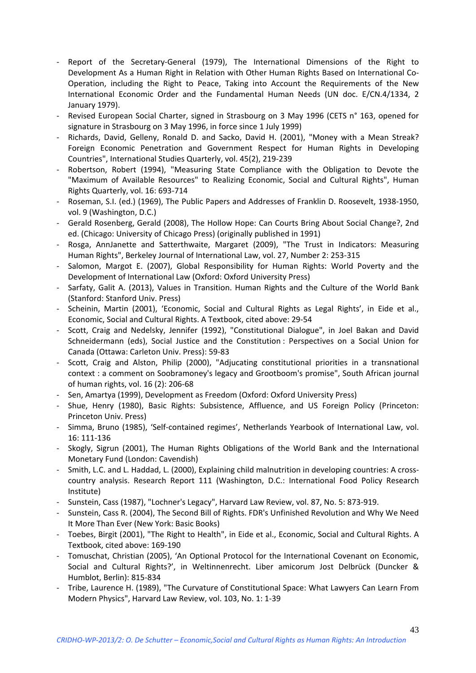- Report of the Secretary-General (1979), The International Dimensions of the Right to Development As a Human Right in Relation with Other Human Rights Based on International Co‐ Operation, including the Right to Peace, Taking into Account the Requirements of the New International Economic Order and the Fundamental Human Needs (UN doc. E/CN.4/1334, 2 January 1979).
- ‐ Revised European Social Charter, signed in Strasbourg on 3 May 1996 (CETS n° 163, opened for signature in Strasbourg on 3 May 1996, in force since 1 July 1999)
- ‐ Richards, David, Gelleny, Ronald D. and Sacko, David H. (2001), "Money with a Mean Streak? Foreign Economic Penetration and Government Respect for Human Rights in Developing Countries", International Studies Quarterly, vol. 45(2), 219‐239
- ‐ Robertson, Robert (1994), "Measuring State Compliance with the Obligation to Devote the "Maximum of Available Resources" to Realizing Economic, Social and Cultural Rights", Human Rights Quarterly, vol. 16: 693‐714
- ‐ Roseman, S.I. (ed.) (1969), The Public Papers and Addresses of Franklin D. Roosevelt, 1938‐1950, vol. 9 (Washington, D.C.)
- ‐ Gerald Rosenberg, Gerald (2008), The Hollow Hope: Can Courts Bring About Social Change?, 2nd ed. (Chicago: University of Chicago Press) (originally published in 1991)
- ‐ Rosga, AnnJanette and Satterthwaite, Margaret (2009), "The Trust in Indicators: Measuring Human Rights", Berkeley Journal of International Law, vol. 27, Number 2: 253‐315
- ‐ Salomon, Margot E. (2007), Global Responsibility for Human Rights: World Poverty and the Development of International Law (Oxford: Oxford University Press)
- ‐ Sarfaty, Galit A. (2013), Values in Transition. Human Rights and the Culture of the World Bank (Stanford: Stanford Univ. Press)
- ‐ Scheinin, Martin (2001), 'Economic, Social and Cultural Rights as Legal Rights', in Eide et al., Economic, Social and Cultural Rights. A Textbook, cited above: 29‐54
- ‐ Scott, Craig and Nedelsky, Jennifer (1992), "Constitutional Dialogue", in Joel Bakan and David Schneidermann (eds), Social Justice and the Constitution : Perspectives on a Social Union for Canada (Ottawa: Carleton Univ. Press): 59‐83
- ‐ Scott, Craig and Alston, Philip (2000), "Adjucating constitutional priorities in a transnational context : a comment on Soobramoney's legacy and Grootboom's promise", South African journal of human rights, vol. 16 (2): 206‐68
- ‐ Sen, Amartya (1999), Development as Freedom (Oxford: Oxford University Press)
- ‐ Shue, Henry (1980), Basic Rights: Subsistence, Affluence, and US Foreign Policy (Princeton: Princeton Univ. Press)
- ‐ Simma, Bruno (1985), 'Self‐contained regimes', Netherlands Yearbook of International Law, vol. 16: 111‐136
- ‐ Skogly, Sigrun (2001), The Human Rights Obligations of the World Bank and the International Monetary Fund (London: Cavendish)
- Smith, L.C. and L. Haddad, L. (2000), Explaining child malnutrition in developing countries: A crosscountry analysis. Research Report 111 (Washington, D.C.: International Food Policy Research Institute)
- ‐ Sunstein, Cass (1987), "Lochner's Legacy", Harvard Law Review, vol. 87, No. 5: 873‐919.
- ‐ Sunstein, Cass R. (2004), The Second Bill of Rights. FDR's Unfinished Revolution and Why We Need It More Than Ever (New York: Basic Books)
- ‐ Toebes, Birgit (2001), "The Right to Health", in Eide et al., Economic, Social and Cultural Rights. A Textbook, cited above: 169‐190
- ‐ Tomuschat, Christian (2005), 'An Optional Protocol for the International Covenant on Economic, Social and Cultural Rights?', in Weltinnenrecht. Liber amicorum Jost Delbrück (Duncker & Humblot, Berlin): 815‐834
- ‐ Tribe, Laurence H. (1989), "The Curvature of Constitutional Space: What Lawyers Can Learn From Modern Physics", Harvard Law Review, vol. 103, No. 1: 1‐39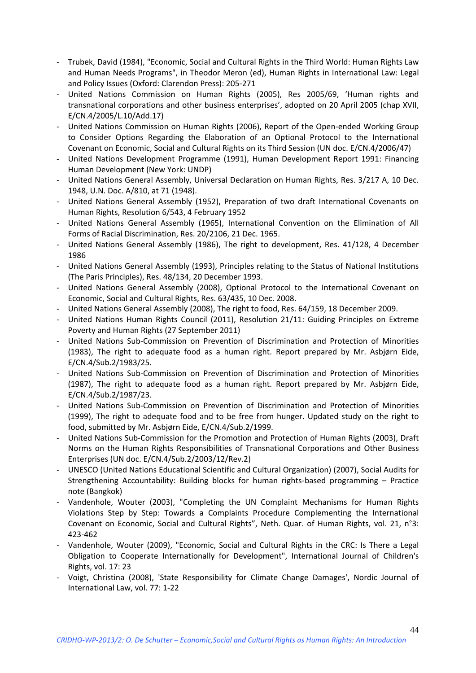- ‐ Trubek, David (1984), "Economic, Social and Cultural Rights in the Third World: Human Rights Law and Human Needs Programs", in Theodor Meron (ed), Human Rights in International Law: Legal and Policy Issues (Oxford: Clarendon Press): 205‐271
- ‐ United Nations Commission on Human Rights (2005), Res 2005/69, 'Human rights and transnational corporations and other business enterprises', adopted on 20 April 2005 (chap XVII, E/CN.4/2005/L.10/Add.17)
- ‐ United Nations Commission on Human Rights (2006), Report of the Open‐ended Working Group to Consider Options Regarding the Elaboration of an Optional Protocol to the International Covenant on Economic, Social and Cultural Rights on its Third Session (UN doc. E/CN.4/2006/47)
- ‐ United Nations Development Programme (1991), Human Development Report 1991: Financing Human Development (New York: UNDP)
- ‐ United Nations General Assembly, Universal Declaration on Human Rights, Res. 3/217 A, 10 Dec. 1948, U.N. Doc. A/810, at 71 (1948).
- ‐ United Nations General Assembly (1952), Preparation of two draft International Covenants on Human Rights, Resolution 6/543, 4 February 1952
- ‐ United Nations General Assembly (1965), International Convention on the Elimination of All Forms of Racial Discrimination, Res. 20/2106, 21 Dec. 1965.
- ‐ United Nations General Assembly (1986), The right to development, Res. 41/128, 4 December 1986
- ‐ United Nations General Assembly (1993), Principles relating to the Status of National Institutions (The Paris Principles), Res. 48/134, 20 December 1993.
- ‐ United Nations General Assembly (2008), Optional Protocol to the International Covenant on Economic, Social and Cultural Rights, Res. 63/435, 10 Dec. 2008.
- ‐ United Nations General Assembly (2008), The right to food, Res. 64/159, 18 December 2009.
- ‐ United Nations Human Rights Council (2011), Resolution 21/11: Guiding Principles on Extreme Poverty and Human Rights (27 September 2011)
- ‐ United Nations Sub‐Commission on Prevention of Discrimination and Protection of Minorities (1983), The right to adequate food as a human right. Report prepared by Mr. Asbjørn Eide, E/CN.4/Sub.2/1983/25.
- ‐ United Nations Sub‐Commission on Prevention of Discrimination and Protection of Minorities (1987), The right to adequate food as a human right. Report prepared by Mr. Asbjørn Eide, E/CN.4/Sub.2/1987/23.
- ‐ United Nations Sub‐Commission on Prevention of Discrimination and Protection of Minorities (1999), The right to adequate food and to be free from hunger. Updated study on the right to food, submitted by Mr. Asbjørn Eide, E/CN.4/Sub.2/1999.
- ‐ United Nations Sub‐Commission for the Promotion and Protection of Human Rights (2003), Draft Norms on the Human Rights Responsibilities of Transnational Corporations and Other Business Enterprises (UN doc. E/CN.4/Sub.2/2003/12/Rev.2)
- ‐ UNESCO (United Nations Educational Scientific and Cultural Organization) (2007), Social Audits for Strengthening Accountability: Building blocks for human rights‐based programming – Practice note (Bangkok)
- ‐ Vandenhole, Wouter (2003), "Completing the UN Complaint Mechanisms for Human Rights Violations Step by Step: Towards a Complaints Procedure Complementing the International Covenant on Economic, Social and Cultural Rights", Neth. Quar. of Human Rights, vol. 21, n°3: 423‐462
- ‐ Vandenhole, Wouter (2009), "Economic, Social and Cultural Rights in the CRC: Is There a Legal Obligation to Cooperate Internationally for Development", International Journal of Children's Rights, vol. 17: 23
- ‐ Voigt, Christina (2008), 'State Responsibility for Climate Change Damages', Nordic Journal of International Law, vol. 77: 1‐22